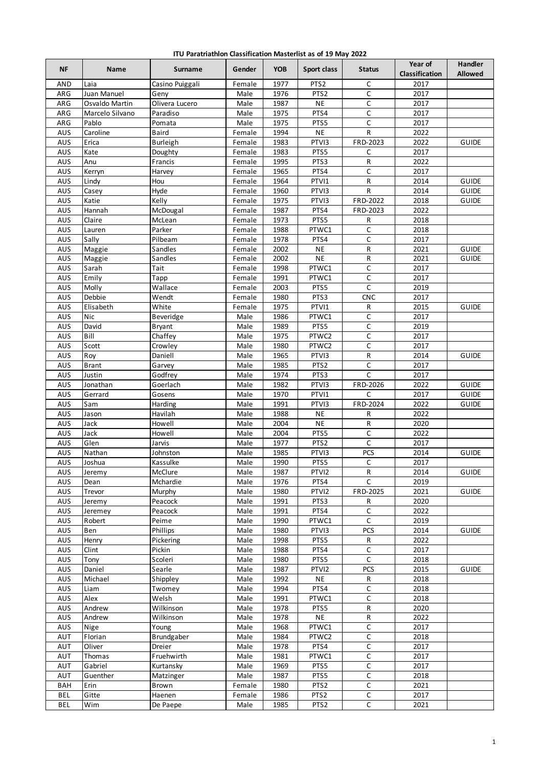| ITU Paratriathlon Classification Masterlist as of 19 May 2022 |  |  |  |  |
|---------------------------------------------------------------|--|--|--|--|
|---------------------------------------------------------------|--|--|--|--|

| NF         | Name               | Surname             | Gender           | <b>YOB</b>   | Sport class       | <b>Status</b>  | Year of<br>Classification | <b>Handler</b><br><b>Allowed</b> |
|------------|--------------------|---------------------|------------------|--------------|-------------------|----------------|---------------------------|----------------------------------|
| AND        | Laia               | Casino Puiggali     | Female           | 1977         | PTS <sub>2</sub>  | C              | 2017                      |                                  |
| ARG        | Juan Manuel        | Geny                | Male             | 1976         | PTS <sub>2</sub>  | $\mathsf C$    | 2017                      |                                  |
| ARG        | Osvaldo Martin     | Olivera Lucero      | Male             | 1987         | <b>NE</b>         | C              | 2017                      |                                  |
| ARG        | Marcelo Silvano    | Paradiso            | Male             | 1975         | PTS4              | C              | 2017                      |                                  |
| ARG        | Pablo              | Pomata              | Male             | 1975         | PTS5              | C              | 2017                      |                                  |
| AUS        | Caroline           | Baird               | Female           | 1994         | <b>NE</b>         | R              | 2022                      |                                  |
| AUS        | Erica              | <b>Burleigh</b>     | Female           | 1983         | PTVI3             | FRD-2023       | 2022                      | <b>GUIDE</b>                     |
| AUS        | Kate               | Doughty             | Female           | 1983         | PTS5              | С              | 2017                      |                                  |
| AUS        | Anu                | Francis             | Female           | 1995         | PTS3              | R              | 2022                      |                                  |
| AUS        | Kerryn             | Harvey              | Female           | 1965         | PTS4              | C              | 2017                      |                                  |
| AUS<br>AUS | Lindy<br>Casey     | Hou<br>Hyde         | Female           | 1964<br>1960 | PTVI1<br>PTVI3    | R<br>R         | 2014<br>2014              | <b>GUIDE</b><br><b>GUIDE</b>     |
| AUS        | Katie              | Kelly               | Female<br>Female | 1975         | PTVI3             | FRD-2022       | 2018                      | <b>GUIDE</b>                     |
| AUS        | Hannah             | McDougal            | Female           | 1987         | PTS4              | FRD-2023       | 2022                      |                                  |
| AUS        | Claire             | McLean              | Female           | 1973         | PTS5              | R              | 2018                      |                                  |
| AUS        | Lauren             | Parker              | Female           | 1988         | PTWC1             | C              | 2018                      |                                  |
| AUS        | Sally              | Pilbeam             | Female           | 1978         | PTS4              | C              | 2017                      |                                  |
| AUS        | Maggie             | Sandles             | Female           | 2002         | <b>NE</b>         | R              | 2021                      | <b>GUIDE</b>                     |
| AUS        | Maggie             | Sandles             | Female           | 2002         | <b>NE</b>         | R              | 2021                      | <b>GUIDE</b>                     |
| AUS        | Sarah              | Tait                | Female           | 1998         | PTWC1             | $\mathsf C$    | 2017                      |                                  |
| AUS        | Emily              | Tapp                | Female           | 1991         | PTWC1             | C              | 2017                      |                                  |
| AUS        | Molly              | Wallace             | Female           | 2003         | PTS5              | C              | 2019                      |                                  |
| AUS        | Debbie             | Wendt               | Female           | 1980         | PTS3              | <b>CNC</b>     | 2017                      |                                  |
| AUS        | Elisabeth          | White               | Female           | 1975         | PTVI1             | R              | 2015                      | <b>GUIDE</b>                     |
| AUS        | Nic                | Beveridge           | Male             | 1986         | PTWC1             | C              | 2017                      |                                  |
| AUS        | David              | Bryant              | Male             | 1989         | PTS5              | С              | 2019                      |                                  |
| AUS        | Bill               | Chaffey             | Male             | 1975         | PTWC2             | C              | $\overline{20}17$         |                                  |
| AUS        | Scott              | Crowley             | Male             | 1980         | PTWC2             | $\overline{C}$ | 2017                      |                                  |
| AUS        | Roy                | Daniell             | Male             | 1965         | PTVI3             | R              | 2014                      | <b>GUIDE</b>                     |
| AUS        | <b>Brant</b>       | Garvey              | Male             | 1985         | PTS <sub>2</sub>  | C              | 2017                      |                                  |
| AUS<br>AUS | Justin<br>Jonathan | Godfrey<br>Goerlach | Male<br>Male     | 1974<br>1982 | PTS3<br>PTVI3     | C<br>FRD-2026  | 2017<br>2022              | <b>GUIDE</b>                     |
| AUS        | Gerrard            | Gosens              | Male             | 1970         | PTVI1             | $\mathsf C$    | 2017                      | <b>GUIDE</b>                     |
| AUS        | Sam                | Harding             | Male             | 1991         | PTVI3             | FRD-2024       | 2022                      | <b>GUIDE</b>                     |
| AUS        | Jason              | Havilah             | Male             | 1988         | <b>NE</b>         | R              | 2022                      |                                  |
| AUS        | Jack               | Howell              | Male             | 2004         | <b>NE</b>         | R              | 2020                      |                                  |
| <b>AUS</b> | Jack               | Howell              | Male             | 2004         | PTS5              | $\mathsf C$    | 2022                      |                                  |
| AUS        | Glen               | Jarvis              | Male             | 1977         | PTS <sub>2</sub>  | $\mathsf C$    | 2017                      |                                  |
| AUS        | Nathan             | Johnston            | Male             | 1985         | PTV <sub>13</sub> | <b>PCS</b>     | 2014                      | <b>GUIDE</b>                     |
| AUS        | Joshua             | Kassulke            | Male             | 1990         | PTS5              | $\mathsf C$    | 2017                      |                                  |
| AUS        | Jeremy             | McClure             | Male             | 1987         | PTVI2             | R              | 2014                      | <b>GUIDE</b>                     |
| AUS        | Dean               | Mchardie            | Male             | 1976         | PTS4              | C              | 2019                      |                                  |
| <b>AUS</b> | Trevor             | Murphy              | Male             | 1980         | PTVI2             | FRD-2025       | 2021                      | <b>GUIDE</b>                     |
| AUS        | Jeremy             | Peacock             | Male             | 1991         | PTS3              | R              | 2020                      |                                  |
| AUS        | Jeremey            | Peacock             | Male             | 1991         | PTS4              | C              | 2022                      |                                  |
| AUS        | Robert             | Peime               | Male             | 1990         | PTWC1             | C              | 2019                      |                                  |
| AUS        | Ben                | Phillips            | Male             | 1980         | PTVI3             | <b>PCS</b>     | 2014                      | <b>GUIDE</b>                     |
| AUS        | Henry              | Pickering           | Male             | 1998         | PTS5              | R              | 2022                      |                                  |
| AUS        | Clint              | Pickin              | Male             | 1988         | PTS4              | С              | 2017                      |                                  |
| AUS        | Tony               | Scoleri             | Male             | 1980         | PTS5              | C              | 2018                      |                                  |
| AUS        | Daniel             | Searle              | Male             | 1987         | PTVI2             | <b>PCS</b>     | 2015                      | <b>GUIDE</b>                     |
| AUS        | Michael            | Shippley            | Male             | 1992         | <b>NE</b>         | R              | 2018                      |                                  |
| AUS<br>AUS | Liam<br>Alex       | Twomey<br>Welsh     | Male<br>Male     | 1994<br>1991 | PTS4<br>PTWC1     | C<br>C         | 2018<br>2018              |                                  |
| AUS        | Andrew             | Wilkinson           | Male             | 1978         | PTS5              | R              | 2020                      |                                  |
| AUS        | Andrew             | Wilkinson           | Male             | 1978         | <b>NE</b>         | R              | 2022                      |                                  |
| AUS        | Nige               | Young               | Male             | 1968         | PTWC1             | C              | 2017                      |                                  |
| AUT        | Florian            | Brundgaber          | Male             | 1984         | PTWC2             | С              | 2018                      |                                  |
| AUT        | Oliver             | Dreier              | Male             | 1978         | PTS4              | C              | 2017                      |                                  |
| AUT        | Thomas             | Fruehwirth          | Male             | 1981         | PTWC1             | $\mathsf C$    | 2017                      |                                  |
| AUT        | Gabriel            | Kurtansky           | Male             | 1969         | PTS5              | C              | 2017                      |                                  |
| AUT        | Guenther           | Matzinger           | Male             | 1987         | PTS5              | $\mathsf C$    | 2018                      |                                  |
| <b>BAH</b> | Erin               | Brown               | Female           | 1980         | PTS <sub>2</sub>  | С              | 2021                      |                                  |
| <b>BEL</b> | Gitte              | Haenen              | Female           | 1986         | PTS <sub>2</sub>  | С              | 2017                      |                                  |
| <b>BEL</b> | Wim                | De Paepe            | Male             | 1985         | PTS <sub>2</sub>  | $\mathsf C$    | 2021                      |                                  |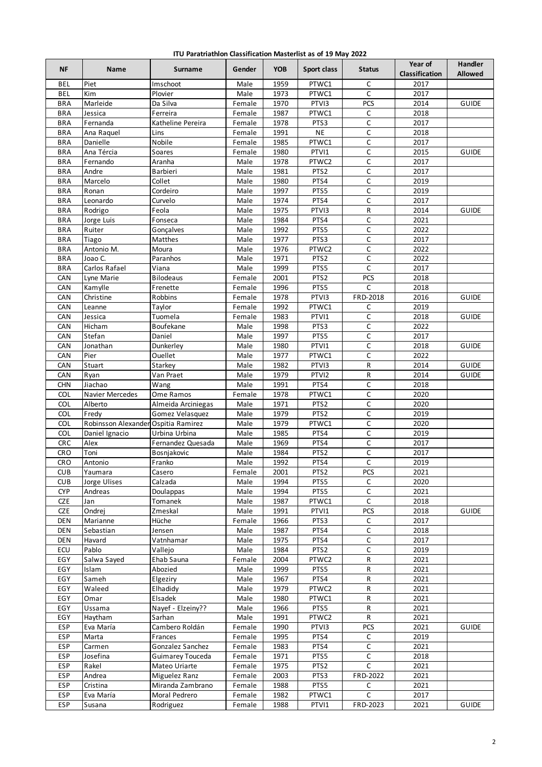| ITU Paratriathlon Classification Masterlist as of 19 May 2022 |  |  |  |  |
|---------------------------------------------------------------|--|--|--|--|
|---------------------------------------------------------------|--|--|--|--|

| 1959<br><b>BEL</b><br>Piet<br>Imschoot<br>Male<br>PTWC1<br>C<br>2017<br>C<br><b>BEL</b><br>Kim<br>1973<br>PTWC1<br>2017<br>Plovier<br>Male<br>PCS<br>Marleide<br>1970<br>PTVI3<br>2014<br><b>BRA</b><br>Da Silva<br><b>GUIDE</b><br>Female<br>2018<br><b>BRA</b><br>Jessica<br>Ferreira<br>1987<br>PTWC1<br>C<br>Female<br>$\mathsf C$<br><b>BRA</b><br>1978<br>PTS3<br>2017<br>Katheline Pereira<br>Fernanda<br>Female<br>$\overline{C}$<br><b>NE</b><br><b>BRA</b><br>1991<br>2018<br>Ana Raquel<br>Lins<br>Female<br>Nobile<br>$\mathsf C$<br>1985<br>PTWC1<br>2017<br><b>BRA</b><br>Danielle<br>Female<br>1980<br>PTVI1<br>C<br>2015<br><b>BRA</b><br>Ana Tércia<br><b>GUIDE</b><br>Soares<br>Female<br>PTWC2<br>C<br>2017<br><b>BRA</b><br>Fernando<br>Aranha<br>1978<br>Male<br>$\mathsf C$<br>1981<br>PTS <sub>2</sub><br>2017<br><b>BRA</b><br>Andre<br>Barbieri<br>Male<br>$\mathsf C$<br><b>BRA</b><br>Marcelo<br>Collet<br>1980<br>PTS4<br>2019<br>Male<br>C<br><b>BRA</b><br>1997<br>PTS5<br>2019<br>Ronan<br>Cordeiro<br>Male<br><b>BRA</b><br>Leonardo<br>Curvelo<br>Male<br>1974<br>PTS4<br>С<br>2017<br>1975<br>PTVI3<br>R<br><b>BRA</b><br>Rodrigo<br>Feola<br>Male<br>2014<br><b>GUIDE</b><br>$\mathsf C$<br><b>BRA</b><br>Male<br>1984<br>PTS4<br>2021<br>Jorge Luis<br>Fonseca<br>$\mathsf C$<br>1992<br>PTS5<br>2022<br><b>BRA</b><br>Ruiter<br>Male<br>Gonçalves<br>1977<br>PTS3<br>C<br>2017<br><b>BRA</b><br>Tiago<br>Matthes<br>Male<br>C<br><b>BRA</b><br>Antonio M.<br>1976<br>PTWC2<br>2022<br>Moura<br>Male<br>C<br><b>BRA</b><br>1971<br>PTS <sub>2</sub><br>2022<br>Joao C.<br>Paranhos<br>Male<br>$\overline{C}$<br>Carlos Rafael<br>1999<br>PTS5<br>2017<br><b>BRA</b><br>Viana<br>Male<br>PCS<br>CAN<br>2001<br>PTS <sub>2</sub><br>2018<br><b>Bilodeaus</b><br>Female<br>Lyne Marie<br>1996<br>PTS5<br>CAN<br>Kamylle<br>Frenette<br>C<br>2018<br>Female<br>FRD-2018<br>CAN<br>Christine<br>Robbins<br>1978<br>PTVI3<br>2016<br><b>GUIDE</b><br>Female<br>1992<br>C<br>CAN<br>Leanne<br>PTWC1<br>2019<br>Taylor<br>Female<br>C<br>CAN<br>1983<br>PTVI1<br>2018<br>Tuomela<br><b>GUIDE</b><br>Jessica<br>Female<br>Hicham<br>1998<br>PTS3<br>C<br>2022<br>CAN<br>Boufekane<br>Male<br>Stefan<br>1997<br>C<br>2017<br>CAN<br>Daniel<br>Male<br>PTS5<br>C<br>CAN<br>1980<br>PTVI1<br>2018<br><b>GUIDE</b><br>Jonathan<br>Dunkerley<br>Male<br>$\mathsf C$<br>CAN<br>1977<br>PTWC1<br>2022<br>Pier<br>Ouellet<br>Male<br>R<br>CAN<br>Stuart<br>1982<br>PTVI3<br>2014<br><b>GUIDE</b><br>Starkey<br>Male<br>1979<br>PTVI2<br>R<br>CAN<br>Ryan<br>Van Praet<br>Male<br>2014<br><b>GUIDE</b><br><b>CHN</b><br>Jiachao<br>1991<br>PTS4<br>C<br>2018<br>Male<br>Wang<br>C<br><b>COL</b><br>1978<br>Navier Mercedes<br>PTWC1<br>2020<br>Ome Ramos<br>Female<br>COL<br>PTS <sub>2</sub><br>C<br>Alberto<br>Male<br>1971<br>2020<br>Almeida Arciniegas<br>PTS <sub>2</sub><br>$\mathsf C$<br>COL<br>Fredy<br>Male<br>1979<br>2019<br>Gomez Velasquez<br>$\mathsf C$<br>COL<br>Robinsson Alexander Ospitia Ramirez<br>1979<br>PTWC1<br>2020<br>Male<br>C<br>COL<br>Male<br>1985<br>PTS4<br>2019<br>Daniel Ignacio<br>Urbina Urbina<br>$\mathsf C$<br><b>CRC</b><br>Alex<br>1969<br>PTS4<br>Male<br>2017<br>Fernandez Quesada<br><b>CRO</b><br>1984<br>PTS2<br>C<br>2017<br>Toni<br>Male<br>Bosnjakovic<br>C<br>PTS4<br><b>CRO</b><br>Antonio<br>Franko<br>1992<br>2019<br>Male<br><b>CUB</b><br>Yaumara<br>Casero<br>Female<br>2001<br>PTS <sub>2</sub><br>PCS<br>2021<br>1994<br>C<br><b>CUB</b><br>Jorge Ulises<br>Calzada<br>Male<br>PTS5<br>2020<br><b>CYP</b><br>1994<br>PTS5<br>$\mathsf C$<br>Andreas<br>Doulappas<br>Male<br>2021<br><b>CZE</b><br>1987<br>C<br>Jan<br>Tomanek<br>Male<br>PTWC1<br>2018<br><b>CZE</b><br>PCS<br>Ondrej<br>Male<br>1991<br>PTVI1<br>2018<br><b>GUIDE</b><br>Zmeskal<br>1966<br>C<br>2017<br><b>DEN</b><br>Marianne<br>Hüche<br>PTS3<br>Female<br>$\mathsf C$<br>1987<br><b>DEN</b><br>PTS4<br>2018<br>Sebastian<br>Jensen<br>Male<br>1975<br>С<br>2017<br><b>DEN</b><br>Havard<br>Vatnhamar<br>Male<br>PTS4<br>ECU<br>Pablo<br>1984<br>PTS <sub>2</sub><br>С<br>Male<br>2019<br>Vallejo<br>EGY<br>Salwa Sayed<br>Ehab Sauna<br>2004<br>PTWC2<br>${\sf R}$<br>Female<br>2021<br>EGY<br>1999<br>PTS5<br>R<br>2021<br>Islam<br>Abozied<br>Male<br>EGY<br>Sameh<br>1967<br>PTS4<br>2021<br>Elgeziry<br>Male<br>R<br>EGY<br>Waleed<br>Elhadidy<br>Male<br>1979<br>PTWC2<br>2021<br>R<br>EGY<br>1980<br>Omar<br>Elsadek<br>Male<br>PTWC1<br>R<br>2021<br>EGY<br>1966<br>R<br>2021<br>Ussama<br>Nayef - Elzeiny??<br>Male<br>PTS5<br>EGY<br>1991<br>PTWC2<br>${\sf R}$<br>2021<br>Haytham<br>Male<br>Sarhan<br><b>ESP</b><br>Cambero Roldán<br>1990<br>PCS<br>Eva María<br>Female<br>PTVI3<br>2021<br><b>GUIDE</b><br>ESP<br>Marta<br>Female<br>1995<br>2019<br>Frances<br>PTS4<br>C<br>$\overline{C}$<br>ESP<br>Gonzalez Sanchez<br>1983<br>2021<br>Carmen<br>Female<br>PTS4<br>$\overline{C}$<br>ESP<br>1971<br>PTS5<br>2018<br>Josefina<br>Guimarey Touceda<br>Female<br><b>ESP</b><br>1975<br>C<br>2021<br>Rakel<br>Mateo Uriarte<br>Female<br>PTS <sub>2</sub><br>Andrea<br>ESP<br>Miguelez Ranz<br>2003<br>PTS3<br>FRD-2022<br>2021<br>Female<br>ESP<br>Cristina<br>Miranda Zambrano<br>1988<br>PTS5<br>2021<br>Female<br>C<br>C<br>ESP<br>1982<br>PTWC1<br>2017<br>Eva María<br>Moral Pedrero<br>Female | <b>NF</b>  | Name   | Surname   | Gender | <b>YOB</b> | Sport class | <b>Status</b> | Year of<br>Classification | <b>Handler</b><br><b>Allowed</b> |
|----------------------------------------------------------------------------------------------------------------------------------------------------------------------------------------------------------------------------------------------------------------------------------------------------------------------------------------------------------------------------------------------------------------------------------------------------------------------------------------------------------------------------------------------------------------------------------------------------------------------------------------------------------------------------------------------------------------------------------------------------------------------------------------------------------------------------------------------------------------------------------------------------------------------------------------------------------------------------------------------------------------------------------------------------------------------------------------------------------------------------------------------------------------------------------------------------------------------------------------------------------------------------------------------------------------------------------------------------------------------------------------------------------------------------------------------------------------------------------------------------------------------------------------------------------------------------------------------------------------------------------------------------------------------------------------------------------------------------------------------------------------------------------------------------------------------------------------------------------------------------------------------------------------------------------------------------------------------------------------------------------------------------------------------------------------------------------------------------------------------------------------------------------------------------------------------------------------------------------------------------------------------------------------------------------------------------------------------------------------------------------------------------------------------------------------------------------------------------------------------------------------------------------------------------------------------------------------------------------------------------------------------------------------------------------------------------------------------------------------------------------------------------------------------------------------------------------------------------------------------------------------------------------------------------------------------------------------------------------------------------------------------------------------------------------------------------------------------------------------------------------------------------------------------------------------------------------------------------------------------------------------------------------------------------------------------------------------------------------------------------------------------------------------------------------------------------------------------------------------------------------------------------------------------------------------------------------------------------------------------------------------------------------------------------------------------------------------------------------------------------------------------------------------------------------------------------------------------------------------------------------------------------------------------------------------------------------------------------------------------------------------------------------------------------------------------------------------------------------------------------------------------------------------------------------------------------------------------------------------------------------------------------------------------------------------------------------------------------------------------------------------------------------------------------------------------------------------------------------------------------------------------------------------------------------------------------------------------------------------------------------------------------------------------------------------------------------------------------------------------------------------------------------------------------------------------------------------------------------------------------------------------------------------------------------------------------------------------------------------------------------------------------------------------------------------------------------------------------------------------------------------------------------------------------------------------------------------------------------------------------------------------------------------------------------------------------------------------------------------------|------------|--------|-----------|--------|------------|-------------|---------------|---------------------------|----------------------------------|
|                                                                                                                                                                                                                                                                                                                                                                                                                                                                                                                                                                                                                                                                                                                                                                                                                                                                                                                                                                                                                                                                                                                                                                                                                                                                                                                                                                                                                                                                                                                                                                                                                                                                                                                                                                                                                                                                                                                                                                                                                                                                                                                                                                                                                                                                                                                                                                                                                                                                                                                                                                                                                                                                                                                                                                                                                                                                                                                                                                                                                                                                                                                                                                                                                                                                                                                                                                                                                                                                                                                                                                                                                                                                                                                                                                                                                                                                                                                                                                                                                                                                                                                                                                                                                                                                                                                                                                                                                                                                                                                                                                                                                                                                                                                                                                                                                                                                                                                                                                                                                                                                                                                                                                                                                                                                                                                                                                      |            |        |           |        |            |             |               |                           |                                  |
|                                                                                                                                                                                                                                                                                                                                                                                                                                                                                                                                                                                                                                                                                                                                                                                                                                                                                                                                                                                                                                                                                                                                                                                                                                                                                                                                                                                                                                                                                                                                                                                                                                                                                                                                                                                                                                                                                                                                                                                                                                                                                                                                                                                                                                                                                                                                                                                                                                                                                                                                                                                                                                                                                                                                                                                                                                                                                                                                                                                                                                                                                                                                                                                                                                                                                                                                                                                                                                                                                                                                                                                                                                                                                                                                                                                                                                                                                                                                                                                                                                                                                                                                                                                                                                                                                                                                                                                                                                                                                                                                                                                                                                                                                                                                                                                                                                                                                                                                                                                                                                                                                                                                                                                                                                                                                                                                                                      |            |        |           |        |            |             |               |                           |                                  |
|                                                                                                                                                                                                                                                                                                                                                                                                                                                                                                                                                                                                                                                                                                                                                                                                                                                                                                                                                                                                                                                                                                                                                                                                                                                                                                                                                                                                                                                                                                                                                                                                                                                                                                                                                                                                                                                                                                                                                                                                                                                                                                                                                                                                                                                                                                                                                                                                                                                                                                                                                                                                                                                                                                                                                                                                                                                                                                                                                                                                                                                                                                                                                                                                                                                                                                                                                                                                                                                                                                                                                                                                                                                                                                                                                                                                                                                                                                                                                                                                                                                                                                                                                                                                                                                                                                                                                                                                                                                                                                                                                                                                                                                                                                                                                                                                                                                                                                                                                                                                                                                                                                                                                                                                                                                                                                                                                                      |            |        |           |        |            |             |               |                           |                                  |
|                                                                                                                                                                                                                                                                                                                                                                                                                                                                                                                                                                                                                                                                                                                                                                                                                                                                                                                                                                                                                                                                                                                                                                                                                                                                                                                                                                                                                                                                                                                                                                                                                                                                                                                                                                                                                                                                                                                                                                                                                                                                                                                                                                                                                                                                                                                                                                                                                                                                                                                                                                                                                                                                                                                                                                                                                                                                                                                                                                                                                                                                                                                                                                                                                                                                                                                                                                                                                                                                                                                                                                                                                                                                                                                                                                                                                                                                                                                                                                                                                                                                                                                                                                                                                                                                                                                                                                                                                                                                                                                                                                                                                                                                                                                                                                                                                                                                                                                                                                                                                                                                                                                                                                                                                                                                                                                                                                      |            |        |           |        |            |             |               |                           |                                  |
|                                                                                                                                                                                                                                                                                                                                                                                                                                                                                                                                                                                                                                                                                                                                                                                                                                                                                                                                                                                                                                                                                                                                                                                                                                                                                                                                                                                                                                                                                                                                                                                                                                                                                                                                                                                                                                                                                                                                                                                                                                                                                                                                                                                                                                                                                                                                                                                                                                                                                                                                                                                                                                                                                                                                                                                                                                                                                                                                                                                                                                                                                                                                                                                                                                                                                                                                                                                                                                                                                                                                                                                                                                                                                                                                                                                                                                                                                                                                                                                                                                                                                                                                                                                                                                                                                                                                                                                                                                                                                                                                                                                                                                                                                                                                                                                                                                                                                                                                                                                                                                                                                                                                                                                                                                                                                                                                                                      |            |        |           |        |            |             |               |                           |                                  |
|                                                                                                                                                                                                                                                                                                                                                                                                                                                                                                                                                                                                                                                                                                                                                                                                                                                                                                                                                                                                                                                                                                                                                                                                                                                                                                                                                                                                                                                                                                                                                                                                                                                                                                                                                                                                                                                                                                                                                                                                                                                                                                                                                                                                                                                                                                                                                                                                                                                                                                                                                                                                                                                                                                                                                                                                                                                                                                                                                                                                                                                                                                                                                                                                                                                                                                                                                                                                                                                                                                                                                                                                                                                                                                                                                                                                                                                                                                                                                                                                                                                                                                                                                                                                                                                                                                                                                                                                                                                                                                                                                                                                                                                                                                                                                                                                                                                                                                                                                                                                                                                                                                                                                                                                                                                                                                                                                                      |            |        |           |        |            |             |               |                           |                                  |
|                                                                                                                                                                                                                                                                                                                                                                                                                                                                                                                                                                                                                                                                                                                                                                                                                                                                                                                                                                                                                                                                                                                                                                                                                                                                                                                                                                                                                                                                                                                                                                                                                                                                                                                                                                                                                                                                                                                                                                                                                                                                                                                                                                                                                                                                                                                                                                                                                                                                                                                                                                                                                                                                                                                                                                                                                                                                                                                                                                                                                                                                                                                                                                                                                                                                                                                                                                                                                                                                                                                                                                                                                                                                                                                                                                                                                                                                                                                                                                                                                                                                                                                                                                                                                                                                                                                                                                                                                                                                                                                                                                                                                                                                                                                                                                                                                                                                                                                                                                                                                                                                                                                                                                                                                                                                                                                                                                      |            |        |           |        |            |             |               |                           |                                  |
|                                                                                                                                                                                                                                                                                                                                                                                                                                                                                                                                                                                                                                                                                                                                                                                                                                                                                                                                                                                                                                                                                                                                                                                                                                                                                                                                                                                                                                                                                                                                                                                                                                                                                                                                                                                                                                                                                                                                                                                                                                                                                                                                                                                                                                                                                                                                                                                                                                                                                                                                                                                                                                                                                                                                                                                                                                                                                                                                                                                                                                                                                                                                                                                                                                                                                                                                                                                                                                                                                                                                                                                                                                                                                                                                                                                                                                                                                                                                                                                                                                                                                                                                                                                                                                                                                                                                                                                                                                                                                                                                                                                                                                                                                                                                                                                                                                                                                                                                                                                                                                                                                                                                                                                                                                                                                                                                                                      |            |        |           |        |            |             |               |                           |                                  |
|                                                                                                                                                                                                                                                                                                                                                                                                                                                                                                                                                                                                                                                                                                                                                                                                                                                                                                                                                                                                                                                                                                                                                                                                                                                                                                                                                                                                                                                                                                                                                                                                                                                                                                                                                                                                                                                                                                                                                                                                                                                                                                                                                                                                                                                                                                                                                                                                                                                                                                                                                                                                                                                                                                                                                                                                                                                                                                                                                                                                                                                                                                                                                                                                                                                                                                                                                                                                                                                                                                                                                                                                                                                                                                                                                                                                                                                                                                                                                                                                                                                                                                                                                                                                                                                                                                                                                                                                                                                                                                                                                                                                                                                                                                                                                                                                                                                                                                                                                                                                                                                                                                                                                                                                                                                                                                                                                                      |            |        |           |        |            |             |               |                           |                                  |
|                                                                                                                                                                                                                                                                                                                                                                                                                                                                                                                                                                                                                                                                                                                                                                                                                                                                                                                                                                                                                                                                                                                                                                                                                                                                                                                                                                                                                                                                                                                                                                                                                                                                                                                                                                                                                                                                                                                                                                                                                                                                                                                                                                                                                                                                                                                                                                                                                                                                                                                                                                                                                                                                                                                                                                                                                                                                                                                                                                                                                                                                                                                                                                                                                                                                                                                                                                                                                                                                                                                                                                                                                                                                                                                                                                                                                                                                                                                                                                                                                                                                                                                                                                                                                                                                                                                                                                                                                                                                                                                                                                                                                                                                                                                                                                                                                                                                                                                                                                                                                                                                                                                                                                                                                                                                                                                                                                      |            |        |           |        |            |             |               |                           |                                  |
|                                                                                                                                                                                                                                                                                                                                                                                                                                                                                                                                                                                                                                                                                                                                                                                                                                                                                                                                                                                                                                                                                                                                                                                                                                                                                                                                                                                                                                                                                                                                                                                                                                                                                                                                                                                                                                                                                                                                                                                                                                                                                                                                                                                                                                                                                                                                                                                                                                                                                                                                                                                                                                                                                                                                                                                                                                                                                                                                                                                                                                                                                                                                                                                                                                                                                                                                                                                                                                                                                                                                                                                                                                                                                                                                                                                                                                                                                                                                                                                                                                                                                                                                                                                                                                                                                                                                                                                                                                                                                                                                                                                                                                                                                                                                                                                                                                                                                                                                                                                                                                                                                                                                                                                                                                                                                                                                                                      |            |        |           |        |            |             |               |                           |                                  |
|                                                                                                                                                                                                                                                                                                                                                                                                                                                                                                                                                                                                                                                                                                                                                                                                                                                                                                                                                                                                                                                                                                                                                                                                                                                                                                                                                                                                                                                                                                                                                                                                                                                                                                                                                                                                                                                                                                                                                                                                                                                                                                                                                                                                                                                                                                                                                                                                                                                                                                                                                                                                                                                                                                                                                                                                                                                                                                                                                                                                                                                                                                                                                                                                                                                                                                                                                                                                                                                                                                                                                                                                                                                                                                                                                                                                                                                                                                                                                                                                                                                                                                                                                                                                                                                                                                                                                                                                                                                                                                                                                                                                                                                                                                                                                                                                                                                                                                                                                                                                                                                                                                                                                                                                                                                                                                                                                                      |            |        |           |        |            |             |               |                           |                                  |
|                                                                                                                                                                                                                                                                                                                                                                                                                                                                                                                                                                                                                                                                                                                                                                                                                                                                                                                                                                                                                                                                                                                                                                                                                                                                                                                                                                                                                                                                                                                                                                                                                                                                                                                                                                                                                                                                                                                                                                                                                                                                                                                                                                                                                                                                                                                                                                                                                                                                                                                                                                                                                                                                                                                                                                                                                                                                                                                                                                                                                                                                                                                                                                                                                                                                                                                                                                                                                                                                                                                                                                                                                                                                                                                                                                                                                                                                                                                                                                                                                                                                                                                                                                                                                                                                                                                                                                                                                                                                                                                                                                                                                                                                                                                                                                                                                                                                                                                                                                                                                                                                                                                                                                                                                                                                                                                                                                      |            |        |           |        |            |             |               |                           |                                  |
|                                                                                                                                                                                                                                                                                                                                                                                                                                                                                                                                                                                                                                                                                                                                                                                                                                                                                                                                                                                                                                                                                                                                                                                                                                                                                                                                                                                                                                                                                                                                                                                                                                                                                                                                                                                                                                                                                                                                                                                                                                                                                                                                                                                                                                                                                                                                                                                                                                                                                                                                                                                                                                                                                                                                                                                                                                                                                                                                                                                                                                                                                                                                                                                                                                                                                                                                                                                                                                                                                                                                                                                                                                                                                                                                                                                                                                                                                                                                                                                                                                                                                                                                                                                                                                                                                                                                                                                                                                                                                                                                                                                                                                                                                                                                                                                                                                                                                                                                                                                                                                                                                                                                                                                                                                                                                                                                                                      |            |        |           |        |            |             |               |                           |                                  |
|                                                                                                                                                                                                                                                                                                                                                                                                                                                                                                                                                                                                                                                                                                                                                                                                                                                                                                                                                                                                                                                                                                                                                                                                                                                                                                                                                                                                                                                                                                                                                                                                                                                                                                                                                                                                                                                                                                                                                                                                                                                                                                                                                                                                                                                                                                                                                                                                                                                                                                                                                                                                                                                                                                                                                                                                                                                                                                                                                                                                                                                                                                                                                                                                                                                                                                                                                                                                                                                                                                                                                                                                                                                                                                                                                                                                                                                                                                                                                                                                                                                                                                                                                                                                                                                                                                                                                                                                                                                                                                                                                                                                                                                                                                                                                                                                                                                                                                                                                                                                                                                                                                                                                                                                                                                                                                                                                                      |            |        |           |        |            |             |               |                           |                                  |
|                                                                                                                                                                                                                                                                                                                                                                                                                                                                                                                                                                                                                                                                                                                                                                                                                                                                                                                                                                                                                                                                                                                                                                                                                                                                                                                                                                                                                                                                                                                                                                                                                                                                                                                                                                                                                                                                                                                                                                                                                                                                                                                                                                                                                                                                                                                                                                                                                                                                                                                                                                                                                                                                                                                                                                                                                                                                                                                                                                                                                                                                                                                                                                                                                                                                                                                                                                                                                                                                                                                                                                                                                                                                                                                                                                                                                                                                                                                                                                                                                                                                                                                                                                                                                                                                                                                                                                                                                                                                                                                                                                                                                                                                                                                                                                                                                                                                                                                                                                                                                                                                                                                                                                                                                                                                                                                                                                      |            |        |           |        |            |             |               |                           |                                  |
|                                                                                                                                                                                                                                                                                                                                                                                                                                                                                                                                                                                                                                                                                                                                                                                                                                                                                                                                                                                                                                                                                                                                                                                                                                                                                                                                                                                                                                                                                                                                                                                                                                                                                                                                                                                                                                                                                                                                                                                                                                                                                                                                                                                                                                                                                                                                                                                                                                                                                                                                                                                                                                                                                                                                                                                                                                                                                                                                                                                                                                                                                                                                                                                                                                                                                                                                                                                                                                                                                                                                                                                                                                                                                                                                                                                                                                                                                                                                                                                                                                                                                                                                                                                                                                                                                                                                                                                                                                                                                                                                                                                                                                                                                                                                                                                                                                                                                                                                                                                                                                                                                                                                                                                                                                                                                                                                                                      |            |        |           |        |            |             |               |                           |                                  |
|                                                                                                                                                                                                                                                                                                                                                                                                                                                                                                                                                                                                                                                                                                                                                                                                                                                                                                                                                                                                                                                                                                                                                                                                                                                                                                                                                                                                                                                                                                                                                                                                                                                                                                                                                                                                                                                                                                                                                                                                                                                                                                                                                                                                                                                                                                                                                                                                                                                                                                                                                                                                                                                                                                                                                                                                                                                                                                                                                                                                                                                                                                                                                                                                                                                                                                                                                                                                                                                                                                                                                                                                                                                                                                                                                                                                                                                                                                                                                                                                                                                                                                                                                                                                                                                                                                                                                                                                                                                                                                                                                                                                                                                                                                                                                                                                                                                                                                                                                                                                                                                                                                                                                                                                                                                                                                                                                                      |            |        |           |        |            |             |               |                           |                                  |
|                                                                                                                                                                                                                                                                                                                                                                                                                                                                                                                                                                                                                                                                                                                                                                                                                                                                                                                                                                                                                                                                                                                                                                                                                                                                                                                                                                                                                                                                                                                                                                                                                                                                                                                                                                                                                                                                                                                                                                                                                                                                                                                                                                                                                                                                                                                                                                                                                                                                                                                                                                                                                                                                                                                                                                                                                                                                                                                                                                                                                                                                                                                                                                                                                                                                                                                                                                                                                                                                                                                                                                                                                                                                                                                                                                                                                                                                                                                                                                                                                                                                                                                                                                                                                                                                                                                                                                                                                                                                                                                                                                                                                                                                                                                                                                                                                                                                                                                                                                                                                                                                                                                                                                                                                                                                                                                                                                      |            |        |           |        |            |             |               |                           |                                  |
|                                                                                                                                                                                                                                                                                                                                                                                                                                                                                                                                                                                                                                                                                                                                                                                                                                                                                                                                                                                                                                                                                                                                                                                                                                                                                                                                                                                                                                                                                                                                                                                                                                                                                                                                                                                                                                                                                                                                                                                                                                                                                                                                                                                                                                                                                                                                                                                                                                                                                                                                                                                                                                                                                                                                                                                                                                                                                                                                                                                                                                                                                                                                                                                                                                                                                                                                                                                                                                                                                                                                                                                                                                                                                                                                                                                                                                                                                                                                                                                                                                                                                                                                                                                                                                                                                                                                                                                                                                                                                                                                                                                                                                                                                                                                                                                                                                                                                                                                                                                                                                                                                                                                                                                                                                                                                                                                                                      |            |        |           |        |            |             |               |                           |                                  |
|                                                                                                                                                                                                                                                                                                                                                                                                                                                                                                                                                                                                                                                                                                                                                                                                                                                                                                                                                                                                                                                                                                                                                                                                                                                                                                                                                                                                                                                                                                                                                                                                                                                                                                                                                                                                                                                                                                                                                                                                                                                                                                                                                                                                                                                                                                                                                                                                                                                                                                                                                                                                                                                                                                                                                                                                                                                                                                                                                                                                                                                                                                                                                                                                                                                                                                                                                                                                                                                                                                                                                                                                                                                                                                                                                                                                                                                                                                                                                                                                                                                                                                                                                                                                                                                                                                                                                                                                                                                                                                                                                                                                                                                                                                                                                                                                                                                                                                                                                                                                                                                                                                                                                                                                                                                                                                                                                                      |            |        |           |        |            |             |               |                           |                                  |
|                                                                                                                                                                                                                                                                                                                                                                                                                                                                                                                                                                                                                                                                                                                                                                                                                                                                                                                                                                                                                                                                                                                                                                                                                                                                                                                                                                                                                                                                                                                                                                                                                                                                                                                                                                                                                                                                                                                                                                                                                                                                                                                                                                                                                                                                                                                                                                                                                                                                                                                                                                                                                                                                                                                                                                                                                                                                                                                                                                                                                                                                                                                                                                                                                                                                                                                                                                                                                                                                                                                                                                                                                                                                                                                                                                                                                                                                                                                                                                                                                                                                                                                                                                                                                                                                                                                                                                                                                                                                                                                                                                                                                                                                                                                                                                                                                                                                                                                                                                                                                                                                                                                                                                                                                                                                                                                                                                      |            |        |           |        |            |             |               |                           |                                  |
|                                                                                                                                                                                                                                                                                                                                                                                                                                                                                                                                                                                                                                                                                                                                                                                                                                                                                                                                                                                                                                                                                                                                                                                                                                                                                                                                                                                                                                                                                                                                                                                                                                                                                                                                                                                                                                                                                                                                                                                                                                                                                                                                                                                                                                                                                                                                                                                                                                                                                                                                                                                                                                                                                                                                                                                                                                                                                                                                                                                                                                                                                                                                                                                                                                                                                                                                                                                                                                                                                                                                                                                                                                                                                                                                                                                                                                                                                                                                                                                                                                                                                                                                                                                                                                                                                                                                                                                                                                                                                                                                                                                                                                                                                                                                                                                                                                                                                                                                                                                                                                                                                                                                                                                                                                                                                                                                                                      |            |        |           |        |            |             |               |                           |                                  |
|                                                                                                                                                                                                                                                                                                                                                                                                                                                                                                                                                                                                                                                                                                                                                                                                                                                                                                                                                                                                                                                                                                                                                                                                                                                                                                                                                                                                                                                                                                                                                                                                                                                                                                                                                                                                                                                                                                                                                                                                                                                                                                                                                                                                                                                                                                                                                                                                                                                                                                                                                                                                                                                                                                                                                                                                                                                                                                                                                                                                                                                                                                                                                                                                                                                                                                                                                                                                                                                                                                                                                                                                                                                                                                                                                                                                                                                                                                                                                                                                                                                                                                                                                                                                                                                                                                                                                                                                                                                                                                                                                                                                                                                                                                                                                                                                                                                                                                                                                                                                                                                                                                                                                                                                                                                                                                                                                                      |            |        |           |        |            |             |               |                           |                                  |
|                                                                                                                                                                                                                                                                                                                                                                                                                                                                                                                                                                                                                                                                                                                                                                                                                                                                                                                                                                                                                                                                                                                                                                                                                                                                                                                                                                                                                                                                                                                                                                                                                                                                                                                                                                                                                                                                                                                                                                                                                                                                                                                                                                                                                                                                                                                                                                                                                                                                                                                                                                                                                                                                                                                                                                                                                                                                                                                                                                                                                                                                                                                                                                                                                                                                                                                                                                                                                                                                                                                                                                                                                                                                                                                                                                                                                                                                                                                                                                                                                                                                                                                                                                                                                                                                                                                                                                                                                                                                                                                                                                                                                                                                                                                                                                                                                                                                                                                                                                                                                                                                                                                                                                                                                                                                                                                                                                      |            |        |           |        |            |             |               |                           |                                  |
|                                                                                                                                                                                                                                                                                                                                                                                                                                                                                                                                                                                                                                                                                                                                                                                                                                                                                                                                                                                                                                                                                                                                                                                                                                                                                                                                                                                                                                                                                                                                                                                                                                                                                                                                                                                                                                                                                                                                                                                                                                                                                                                                                                                                                                                                                                                                                                                                                                                                                                                                                                                                                                                                                                                                                                                                                                                                                                                                                                                                                                                                                                                                                                                                                                                                                                                                                                                                                                                                                                                                                                                                                                                                                                                                                                                                                                                                                                                                                                                                                                                                                                                                                                                                                                                                                                                                                                                                                                                                                                                                                                                                                                                                                                                                                                                                                                                                                                                                                                                                                                                                                                                                                                                                                                                                                                                                                                      |            |        |           |        |            |             |               |                           |                                  |
|                                                                                                                                                                                                                                                                                                                                                                                                                                                                                                                                                                                                                                                                                                                                                                                                                                                                                                                                                                                                                                                                                                                                                                                                                                                                                                                                                                                                                                                                                                                                                                                                                                                                                                                                                                                                                                                                                                                                                                                                                                                                                                                                                                                                                                                                                                                                                                                                                                                                                                                                                                                                                                                                                                                                                                                                                                                                                                                                                                                                                                                                                                                                                                                                                                                                                                                                                                                                                                                                                                                                                                                                                                                                                                                                                                                                                                                                                                                                                                                                                                                                                                                                                                                                                                                                                                                                                                                                                                                                                                                                                                                                                                                                                                                                                                                                                                                                                                                                                                                                                                                                                                                                                                                                                                                                                                                                                                      |            |        |           |        |            |             |               |                           |                                  |
|                                                                                                                                                                                                                                                                                                                                                                                                                                                                                                                                                                                                                                                                                                                                                                                                                                                                                                                                                                                                                                                                                                                                                                                                                                                                                                                                                                                                                                                                                                                                                                                                                                                                                                                                                                                                                                                                                                                                                                                                                                                                                                                                                                                                                                                                                                                                                                                                                                                                                                                                                                                                                                                                                                                                                                                                                                                                                                                                                                                                                                                                                                                                                                                                                                                                                                                                                                                                                                                                                                                                                                                                                                                                                                                                                                                                                                                                                                                                                                                                                                                                                                                                                                                                                                                                                                                                                                                                                                                                                                                                                                                                                                                                                                                                                                                                                                                                                                                                                                                                                                                                                                                                                                                                                                                                                                                                                                      |            |        |           |        |            |             |               |                           |                                  |
|                                                                                                                                                                                                                                                                                                                                                                                                                                                                                                                                                                                                                                                                                                                                                                                                                                                                                                                                                                                                                                                                                                                                                                                                                                                                                                                                                                                                                                                                                                                                                                                                                                                                                                                                                                                                                                                                                                                                                                                                                                                                                                                                                                                                                                                                                                                                                                                                                                                                                                                                                                                                                                                                                                                                                                                                                                                                                                                                                                                                                                                                                                                                                                                                                                                                                                                                                                                                                                                                                                                                                                                                                                                                                                                                                                                                                                                                                                                                                                                                                                                                                                                                                                                                                                                                                                                                                                                                                                                                                                                                                                                                                                                                                                                                                                                                                                                                                                                                                                                                                                                                                                                                                                                                                                                                                                                                                                      |            |        |           |        |            |             |               |                           |                                  |
|                                                                                                                                                                                                                                                                                                                                                                                                                                                                                                                                                                                                                                                                                                                                                                                                                                                                                                                                                                                                                                                                                                                                                                                                                                                                                                                                                                                                                                                                                                                                                                                                                                                                                                                                                                                                                                                                                                                                                                                                                                                                                                                                                                                                                                                                                                                                                                                                                                                                                                                                                                                                                                                                                                                                                                                                                                                                                                                                                                                                                                                                                                                                                                                                                                                                                                                                                                                                                                                                                                                                                                                                                                                                                                                                                                                                                                                                                                                                                                                                                                                                                                                                                                                                                                                                                                                                                                                                                                                                                                                                                                                                                                                                                                                                                                                                                                                                                                                                                                                                                                                                                                                                                                                                                                                                                                                                                                      |            |        |           |        |            |             |               |                           |                                  |
|                                                                                                                                                                                                                                                                                                                                                                                                                                                                                                                                                                                                                                                                                                                                                                                                                                                                                                                                                                                                                                                                                                                                                                                                                                                                                                                                                                                                                                                                                                                                                                                                                                                                                                                                                                                                                                                                                                                                                                                                                                                                                                                                                                                                                                                                                                                                                                                                                                                                                                                                                                                                                                                                                                                                                                                                                                                                                                                                                                                                                                                                                                                                                                                                                                                                                                                                                                                                                                                                                                                                                                                                                                                                                                                                                                                                                                                                                                                                                                                                                                                                                                                                                                                                                                                                                                                                                                                                                                                                                                                                                                                                                                                                                                                                                                                                                                                                                                                                                                                                                                                                                                                                                                                                                                                                                                                                                                      |            |        |           |        |            |             |               |                           |                                  |
|                                                                                                                                                                                                                                                                                                                                                                                                                                                                                                                                                                                                                                                                                                                                                                                                                                                                                                                                                                                                                                                                                                                                                                                                                                                                                                                                                                                                                                                                                                                                                                                                                                                                                                                                                                                                                                                                                                                                                                                                                                                                                                                                                                                                                                                                                                                                                                                                                                                                                                                                                                                                                                                                                                                                                                                                                                                                                                                                                                                                                                                                                                                                                                                                                                                                                                                                                                                                                                                                                                                                                                                                                                                                                                                                                                                                                                                                                                                                                                                                                                                                                                                                                                                                                                                                                                                                                                                                                                                                                                                                                                                                                                                                                                                                                                                                                                                                                                                                                                                                                                                                                                                                                                                                                                                                                                                                                                      |            |        |           |        |            |             |               |                           |                                  |
|                                                                                                                                                                                                                                                                                                                                                                                                                                                                                                                                                                                                                                                                                                                                                                                                                                                                                                                                                                                                                                                                                                                                                                                                                                                                                                                                                                                                                                                                                                                                                                                                                                                                                                                                                                                                                                                                                                                                                                                                                                                                                                                                                                                                                                                                                                                                                                                                                                                                                                                                                                                                                                                                                                                                                                                                                                                                                                                                                                                                                                                                                                                                                                                                                                                                                                                                                                                                                                                                                                                                                                                                                                                                                                                                                                                                                                                                                                                                                                                                                                                                                                                                                                                                                                                                                                                                                                                                                                                                                                                                                                                                                                                                                                                                                                                                                                                                                                                                                                                                                                                                                                                                                                                                                                                                                                                                                                      |            |        |           |        |            |             |               |                           |                                  |
|                                                                                                                                                                                                                                                                                                                                                                                                                                                                                                                                                                                                                                                                                                                                                                                                                                                                                                                                                                                                                                                                                                                                                                                                                                                                                                                                                                                                                                                                                                                                                                                                                                                                                                                                                                                                                                                                                                                                                                                                                                                                                                                                                                                                                                                                                                                                                                                                                                                                                                                                                                                                                                                                                                                                                                                                                                                                                                                                                                                                                                                                                                                                                                                                                                                                                                                                                                                                                                                                                                                                                                                                                                                                                                                                                                                                                                                                                                                                                                                                                                                                                                                                                                                                                                                                                                                                                                                                                                                                                                                                                                                                                                                                                                                                                                                                                                                                                                                                                                                                                                                                                                                                                                                                                                                                                                                                                                      |            |        |           |        |            |             |               |                           |                                  |
|                                                                                                                                                                                                                                                                                                                                                                                                                                                                                                                                                                                                                                                                                                                                                                                                                                                                                                                                                                                                                                                                                                                                                                                                                                                                                                                                                                                                                                                                                                                                                                                                                                                                                                                                                                                                                                                                                                                                                                                                                                                                                                                                                                                                                                                                                                                                                                                                                                                                                                                                                                                                                                                                                                                                                                                                                                                                                                                                                                                                                                                                                                                                                                                                                                                                                                                                                                                                                                                                                                                                                                                                                                                                                                                                                                                                                                                                                                                                                                                                                                                                                                                                                                                                                                                                                                                                                                                                                                                                                                                                                                                                                                                                                                                                                                                                                                                                                                                                                                                                                                                                                                                                                                                                                                                                                                                                                                      |            |        |           |        |            |             |               |                           |                                  |
|                                                                                                                                                                                                                                                                                                                                                                                                                                                                                                                                                                                                                                                                                                                                                                                                                                                                                                                                                                                                                                                                                                                                                                                                                                                                                                                                                                                                                                                                                                                                                                                                                                                                                                                                                                                                                                                                                                                                                                                                                                                                                                                                                                                                                                                                                                                                                                                                                                                                                                                                                                                                                                                                                                                                                                                                                                                                                                                                                                                                                                                                                                                                                                                                                                                                                                                                                                                                                                                                                                                                                                                                                                                                                                                                                                                                                                                                                                                                                                                                                                                                                                                                                                                                                                                                                                                                                                                                                                                                                                                                                                                                                                                                                                                                                                                                                                                                                                                                                                                                                                                                                                                                                                                                                                                                                                                                                                      |            |        |           |        |            |             |               |                           |                                  |
|                                                                                                                                                                                                                                                                                                                                                                                                                                                                                                                                                                                                                                                                                                                                                                                                                                                                                                                                                                                                                                                                                                                                                                                                                                                                                                                                                                                                                                                                                                                                                                                                                                                                                                                                                                                                                                                                                                                                                                                                                                                                                                                                                                                                                                                                                                                                                                                                                                                                                                                                                                                                                                                                                                                                                                                                                                                                                                                                                                                                                                                                                                                                                                                                                                                                                                                                                                                                                                                                                                                                                                                                                                                                                                                                                                                                                                                                                                                                                                                                                                                                                                                                                                                                                                                                                                                                                                                                                                                                                                                                                                                                                                                                                                                                                                                                                                                                                                                                                                                                                                                                                                                                                                                                                                                                                                                                                                      |            |        |           |        |            |             |               |                           |                                  |
|                                                                                                                                                                                                                                                                                                                                                                                                                                                                                                                                                                                                                                                                                                                                                                                                                                                                                                                                                                                                                                                                                                                                                                                                                                                                                                                                                                                                                                                                                                                                                                                                                                                                                                                                                                                                                                                                                                                                                                                                                                                                                                                                                                                                                                                                                                                                                                                                                                                                                                                                                                                                                                                                                                                                                                                                                                                                                                                                                                                                                                                                                                                                                                                                                                                                                                                                                                                                                                                                                                                                                                                                                                                                                                                                                                                                                                                                                                                                                                                                                                                                                                                                                                                                                                                                                                                                                                                                                                                                                                                                                                                                                                                                                                                                                                                                                                                                                                                                                                                                                                                                                                                                                                                                                                                                                                                                                                      |            |        |           |        |            |             |               |                           |                                  |
|                                                                                                                                                                                                                                                                                                                                                                                                                                                                                                                                                                                                                                                                                                                                                                                                                                                                                                                                                                                                                                                                                                                                                                                                                                                                                                                                                                                                                                                                                                                                                                                                                                                                                                                                                                                                                                                                                                                                                                                                                                                                                                                                                                                                                                                                                                                                                                                                                                                                                                                                                                                                                                                                                                                                                                                                                                                                                                                                                                                                                                                                                                                                                                                                                                                                                                                                                                                                                                                                                                                                                                                                                                                                                                                                                                                                                                                                                                                                                                                                                                                                                                                                                                                                                                                                                                                                                                                                                                                                                                                                                                                                                                                                                                                                                                                                                                                                                                                                                                                                                                                                                                                                                                                                                                                                                                                                                                      |            |        |           |        |            |             |               |                           |                                  |
|                                                                                                                                                                                                                                                                                                                                                                                                                                                                                                                                                                                                                                                                                                                                                                                                                                                                                                                                                                                                                                                                                                                                                                                                                                                                                                                                                                                                                                                                                                                                                                                                                                                                                                                                                                                                                                                                                                                                                                                                                                                                                                                                                                                                                                                                                                                                                                                                                                                                                                                                                                                                                                                                                                                                                                                                                                                                                                                                                                                                                                                                                                                                                                                                                                                                                                                                                                                                                                                                                                                                                                                                                                                                                                                                                                                                                                                                                                                                                                                                                                                                                                                                                                                                                                                                                                                                                                                                                                                                                                                                                                                                                                                                                                                                                                                                                                                                                                                                                                                                                                                                                                                                                                                                                                                                                                                                                                      |            |        |           |        |            |             |               |                           |                                  |
|                                                                                                                                                                                                                                                                                                                                                                                                                                                                                                                                                                                                                                                                                                                                                                                                                                                                                                                                                                                                                                                                                                                                                                                                                                                                                                                                                                                                                                                                                                                                                                                                                                                                                                                                                                                                                                                                                                                                                                                                                                                                                                                                                                                                                                                                                                                                                                                                                                                                                                                                                                                                                                                                                                                                                                                                                                                                                                                                                                                                                                                                                                                                                                                                                                                                                                                                                                                                                                                                                                                                                                                                                                                                                                                                                                                                                                                                                                                                                                                                                                                                                                                                                                                                                                                                                                                                                                                                                                                                                                                                                                                                                                                                                                                                                                                                                                                                                                                                                                                                                                                                                                                                                                                                                                                                                                                                                                      |            |        |           |        |            |             |               |                           |                                  |
|                                                                                                                                                                                                                                                                                                                                                                                                                                                                                                                                                                                                                                                                                                                                                                                                                                                                                                                                                                                                                                                                                                                                                                                                                                                                                                                                                                                                                                                                                                                                                                                                                                                                                                                                                                                                                                                                                                                                                                                                                                                                                                                                                                                                                                                                                                                                                                                                                                                                                                                                                                                                                                                                                                                                                                                                                                                                                                                                                                                                                                                                                                                                                                                                                                                                                                                                                                                                                                                                                                                                                                                                                                                                                                                                                                                                                                                                                                                                                                                                                                                                                                                                                                                                                                                                                                                                                                                                                                                                                                                                                                                                                                                                                                                                                                                                                                                                                                                                                                                                                                                                                                                                                                                                                                                                                                                                                                      |            |        |           |        |            |             |               |                           |                                  |
|                                                                                                                                                                                                                                                                                                                                                                                                                                                                                                                                                                                                                                                                                                                                                                                                                                                                                                                                                                                                                                                                                                                                                                                                                                                                                                                                                                                                                                                                                                                                                                                                                                                                                                                                                                                                                                                                                                                                                                                                                                                                                                                                                                                                                                                                                                                                                                                                                                                                                                                                                                                                                                                                                                                                                                                                                                                                                                                                                                                                                                                                                                                                                                                                                                                                                                                                                                                                                                                                                                                                                                                                                                                                                                                                                                                                                                                                                                                                                                                                                                                                                                                                                                                                                                                                                                                                                                                                                                                                                                                                                                                                                                                                                                                                                                                                                                                                                                                                                                                                                                                                                                                                                                                                                                                                                                                                                                      |            |        |           |        |            |             |               |                           |                                  |
|                                                                                                                                                                                                                                                                                                                                                                                                                                                                                                                                                                                                                                                                                                                                                                                                                                                                                                                                                                                                                                                                                                                                                                                                                                                                                                                                                                                                                                                                                                                                                                                                                                                                                                                                                                                                                                                                                                                                                                                                                                                                                                                                                                                                                                                                                                                                                                                                                                                                                                                                                                                                                                                                                                                                                                                                                                                                                                                                                                                                                                                                                                                                                                                                                                                                                                                                                                                                                                                                                                                                                                                                                                                                                                                                                                                                                                                                                                                                                                                                                                                                                                                                                                                                                                                                                                                                                                                                                                                                                                                                                                                                                                                                                                                                                                                                                                                                                                                                                                                                                                                                                                                                                                                                                                                                                                                                                                      |            |        |           |        |            |             |               |                           |                                  |
|                                                                                                                                                                                                                                                                                                                                                                                                                                                                                                                                                                                                                                                                                                                                                                                                                                                                                                                                                                                                                                                                                                                                                                                                                                                                                                                                                                                                                                                                                                                                                                                                                                                                                                                                                                                                                                                                                                                                                                                                                                                                                                                                                                                                                                                                                                                                                                                                                                                                                                                                                                                                                                                                                                                                                                                                                                                                                                                                                                                                                                                                                                                                                                                                                                                                                                                                                                                                                                                                                                                                                                                                                                                                                                                                                                                                                                                                                                                                                                                                                                                                                                                                                                                                                                                                                                                                                                                                                                                                                                                                                                                                                                                                                                                                                                                                                                                                                                                                                                                                                                                                                                                                                                                                                                                                                                                                                                      |            |        |           |        |            |             |               |                           |                                  |
|                                                                                                                                                                                                                                                                                                                                                                                                                                                                                                                                                                                                                                                                                                                                                                                                                                                                                                                                                                                                                                                                                                                                                                                                                                                                                                                                                                                                                                                                                                                                                                                                                                                                                                                                                                                                                                                                                                                                                                                                                                                                                                                                                                                                                                                                                                                                                                                                                                                                                                                                                                                                                                                                                                                                                                                                                                                                                                                                                                                                                                                                                                                                                                                                                                                                                                                                                                                                                                                                                                                                                                                                                                                                                                                                                                                                                                                                                                                                                                                                                                                                                                                                                                                                                                                                                                                                                                                                                                                                                                                                                                                                                                                                                                                                                                                                                                                                                                                                                                                                                                                                                                                                                                                                                                                                                                                                                                      |            |        |           |        |            |             |               |                           |                                  |
|                                                                                                                                                                                                                                                                                                                                                                                                                                                                                                                                                                                                                                                                                                                                                                                                                                                                                                                                                                                                                                                                                                                                                                                                                                                                                                                                                                                                                                                                                                                                                                                                                                                                                                                                                                                                                                                                                                                                                                                                                                                                                                                                                                                                                                                                                                                                                                                                                                                                                                                                                                                                                                                                                                                                                                                                                                                                                                                                                                                                                                                                                                                                                                                                                                                                                                                                                                                                                                                                                                                                                                                                                                                                                                                                                                                                                                                                                                                                                                                                                                                                                                                                                                                                                                                                                                                                                                                                                                                                                                                                                                                                                                                                                                                                                                                                                                                                                                                                                                                                                                                                                                                                                                                                                                                                                                                                                                      |            |        |           |        |            |             |               |                           |                                  |
|                                                                                                                                                                                                                                                                                                                                                                                                                                                                                                                                                                                                                                                                                                                                                                                                                                                                                                                                                                                                                                                                                                                                                                                                                                                                                                                                                                                                                                                                                                                                                                                                                                                                                                                                                                                                                                                                                                                                                                                                                                                                                                                                                                                                                                                                                                                                                                                                                                                                                                                                                                                                                                                                                                                                                                                                                                                                                                                                                                                                                                                                                                                                                                                                                                                                                                                                                                                                                                                                                                                                                                                                                                                                                                                                                                                                                                                                                                                                                                                                                                                                                                                                                                                                                                                                                                                                                                                                                                                                                                                                                                                                                                                                                                                                                                                                                                                                                                                                                                                                                                                                                                                                                                                                                                                                                                                                                                      |            |        |           |        |            |             |               |                           |                                  |
|                                                                                                                                                                                                                                                                                                                                                                                                                                                                                                                                                                                                                                                                                                                                                                                                                                                                                                                                                                                                                                                                                                                                                                                                                                                                                                                                                                                                                                                                                                                                                                                                                                                                                                                                                                                                                                                                                                                                                                                                                                                                                                                                                                                                                                                                                                                                                                                                                                                                                                                                                                                                                                                                                                                                                                                                                                                                                                                                                                                                                                                                                                                                                                                                                                                                                                                                                                                                                                                                                                                                                                                                                                                                                                                                                                                                                                                                                                                                                                                                                                                                                                                                                                                                                                                                                                                                                                                                                                                                                                                                                                                                                                                                                                                                                                                                                                                                                                                                                                                                                                                                                                                                                                                                                                                                                                                                                                      |            |        |           |        |            |             |               |                           |                                  |
|                                                                                                                                                                                                                                                                                                                                                                                                                                                                                                                                                                                                                                                                                                                                                                                                                                                                                                                                                                                                                                                                                                                                                                                                                                                                                                                                                                                                                                                                                                                                                                                                                                                                                                                                                                                                                                                                                                                                                                                                                                                                                                                                                                                                                                                                                                                                                                                                                                                                                                                                                                                                                                                                                                                                                                                                                                                                                                                                                                                                                                                                                                                                                                                                                                                                                                                                                                                                                                                                                                                                                                                                                                                                                                                                                                                                                                                                                                                                                                                                                                                                                                                                                                                                                                                                                                                                                                                                                                                                                                                                                                                                                                                                                                                                                                                                                                                                                                                                                                                                                                                                                                                                                                                                                                                                                                                                                                      |            |        |           |        |            |             |               |                           |                                  |
|                                                                                                                                                                                                                                                                                                                                                                                                                                                                                                                                                                                                                                                                                                                                                                                                                                                                                                                                                                                                                                                                                                                                                                                                                                                                                                                                                                                                                                                                                                                                                                                                                                                                                                                                                                                                                                                                                                                                                                                                                                                                                                                                                                                                                                                                                                                                                                                                                                                                                                                                                                                                                                                                                                                                                                                                                                                                                                                                                                                                                                                                                                                                                                                                                                                                                                                                                                                                                                                                                                                                                                                                                                                                                                                                                                                                                                                                                                                                                                                                                                                                                                                                                                                                                                                                                                                                                                                                                                                                                                                                                                                                                                                                                                                                                                                                                                                                                                                                                                                                                                                                                                                                                                                                                                                                                                                                                                      |            |        |           |        |            |             |               |                           |                                  |
|                                                                                                                                                                                                                                                                                                                                                                                                                                                                                                                                                                                                                                                                                                                                                                                                                                                                                                                                                                                                                                                                                                                                                                                                                                                                                                                                                                                                                                                                                                                                                                                                                                                                                                                                                                                                                                                                                                                                                                                                                                                                                                                                                                                                                                                                                                                                                                                                                                                                                                                                                                                                                                                                                                                                                                                                                                                                                                                                                                                                                                                                                                                                                                                                                                                                                                                                                                                                                                                                                                                                                                                                                                                                                                                                                                                                                                                                                                                                                                                                                                                                                                                                                                                                                                                                                                                                                                                                                                                                                                                                                                                                                                                                                                                                                                                                                                                                                                                                                                                                                                                                                                                                                                                                                                                                                                                                                                      |            |        |           |        |            |             |               |                           |                                  |
|                                                                                                                                                                                                                                                                                                                                                                                                                                                                                                                                                                                                                                                                                                                                                                                                                                                                                                                                                                                                                                                                                                                                                                                                                                                                                                                                                                                                                                                                                                                                                                                                                                                                                                                                                                                                                                                                                                                                                                                                                                                                                                                                                                                                                                                                                                                                                                                                                                                                                                                                                                                                                                                                                                                                                                                                                                                                                                                                                                                                                                                                                                                                                                                                                                                                                                                                                                                                                                                                                                                                                                                                                                                                                                                                                                                                                                                                                                                                                                                                                                                                                                                                                                                                                                                                                                                                                                                                                                                                                                                                                                                                                                                                                                                                                                                                                                                                                                                                                                                                                                                                                                                                                                                                                                                                                                                                                                      |            |        |           |        |            |             |               |                           |                                  |
|                                                                                                                                                                                                                                                                                                                                                                                                                                                                                                                                                                                                                                                                                                                                                                                                                                                                                                                                                                                                                                                                                                                                                                                                                                                                                                                                                                                                                                                                                                                                                                                                                                                                                                                                                                                                                                                                                                                                                                                                                                                                                                                                                                                                                                                                                                                                                                                                                                                                                                                                                                                                                                                                                                                                                                                                                                                                                                                                                                                                                                                                                                                                                                                                                                                                                                                                                                                                                                                                                                                                                                                                                                                                                                                                                                                                                                                                                                                                                                                                                                                                                                                                                                                                                                                                                                                                                                                                                                                                                                                                                                                                                                                                                                                                                                                                                                                                                                                                                                                                                                                                                                                                                                                                                                                                                                                                                                      |            |        |           |        |            |             |               |                           |                                  |
|                                                                                                                                                                                                                                                                                                                                                                                                                                                                                                                                                                                                                                                                                                                                                                                                                                                                                                                                                                                                                                                                                                                                                                                                                                                                                                                                                                                                                                                                                                                                                                                                                                                                                                                                                                                                                                                                                                                                                                                                                                                                                                                                                                                                                                                                                                                                                                                                                                                                                                                                                                                                                                                                                                                                                                                                                                                                                                                                                                                                                                                                                                                                                                                                                                                                                                                                                                                                                                                                                                                                                                                                                                                                                                                                                                                                                                                                                                                                                                                                                                                                                                                                                                                                                                                                                                                                                                                                                                                                                                                                                                                                                                                                                                                                                                                                                                                                                                                                                                                                                                                                                                                                                                                                                                                                                                                                                                      |            |        |           |        |            |             |               |                           |                                  |
|                                                                                                                                                                                                                                                                                                                                                                                                                                                                                                                                                                                                                                                                                                                                                                                                                                                                                                                                                                                                                                                                                                                                                                                                                                                                                                                                                                                                                                                                                                                                                                                                                                                                                                                                                                                                                                                                                                                                                                                                                                                                                                                                                                                                                                                                                                                                                                                                                                                                                                                                                                                                                                                                                                                                                                                                                                                                                                                                                                                                                                                                                                                                                                                                                                                                                                                                                                                                                                                                                                                                                                                                                                                                                                                                                                                                                                                                                                                                                                                                                                                                                                                                                                                                                                                                                                                                                                                                                                                                                                                                                                                                                                                                                                                                                                                                                                                                                                                                                                                                                                                                                                                                                                                                                                                                                                                                                                      |            |        |           |        |            |             |               |                           |                                  |
|                                                                                                                                                                                                                                                                                                                                                                                                                                                                                                                                                                                                                                                                                                                                                                                                                                                                                                                                                                                                                                                                                                                                                                                                                                                                                                                                                                                                                                                                                                                                                                                                                                                                                                                                                                                                                                                                                                                                                                                                                                                                                                                                                                                                                                                                                                                                                                                                                                                                                                                                                                                                                                                                                                                                                                                                                                                                                                                                                                                                                                                                                                                                                                                                                                                                                                                                                                                                                                                                                                                                                                                                                                                                                                                                                                                                                                                                                                                                                                                                                                                                                                                                                                                                                                                                                                                                                                                                                                                                                                                                                                                                                                                                                                                                                                                                                                                                                                                                                                                                                                                                                                                                                                                                                                                                                                                                                                      |            |        |           |        |            |             |               |                           |                                  |
|                                                                                                                                                                                                                                                                                                                                                                                                                                                                                                                                                                                                                                                                                                                                                                                                                                                                                                                                                                                                                                                                                                                                                                                                                                                                                                                                                                                                                                                                                                                                                                                                                                                                                                                                                                                                                                                                                                                                                                                                                                                                                                                                                                                                                                                                                                                                                                                                                                                                                                                                                                                                                                                                                                                                                                                                                                                                                                                                                                                                                                                                                                                                                                                                                                                                                                                                                                                                                                                                                                                                                                                                                                                                                                                                                                                                                                                                                                                                                                                                                                                                                                                                                                                                                                                                                                                                                                                                                                                                                                                                                                                                                                                                                                                                                                                                                                                                                                                                                                                                                                                                                                                                                                                                                                                                                                                                                                      |            |        |           |        |            |             |               |                           |                                  |
|                                                                                                                                                                                                                                                                                                                                                                                                                                                                                                                                                                                                                                                                                                                                                                                                                                                                                                                                                                                                                                                                                                                                                                                                                                                                                                                                                                                                                                                                                                                                                                                                                                                                                                                                                                                                                                                                                                                                                                                                                                                                                                                                                                                                                                                                                                                                                                                                                                                                                                                                                                                                                                                                                                                                                                                                                                                                                                                                                                                                                                                                                                                                                                                                                                                                                                                                                                                                                                                                                                                                                                                                                                                                                                                                                                                                                                                                                                                                                                                                                                                                                                                                                                                                                                                                                                                                                                                                                                                                                                                                                                                                                                                                                                                                                                                                                                                                                                                                                                                                                                                                                                                                                                                                                                                                                                                                                                      |            |        |           |        |            |             |               |                           |                                  |
|                                                                                                                                                                                                                                                                                                                                                                                                                                                                                                                                                                                                                                                                                                                                                                                                                                                                                                                                                                                                                                                                                                                                                                                                                                                                                                                                                                                                                                                                                                                                                                                                                                                                                                                                                                                                                                                                                                                                                                                                                                                                                                                                                                                                                                                                                                                                                                                                                                                                                                                                                                                                                                                                                                                                                                                                                                                                                                                                                                                                                                                                                                                                                                                                                                                                                                                                                                                                                                                                                                                                                                                                                                                                                                                                                                                                                                                                                                                                                                                                                                                                                                                                                                                                                                                                                                                                                                                                                                                                                                                                                                                                                                                                                                                                                                                                                                                                                                                                                                                                                                                                                                                                                                                                                                                                                                                                                                      |            |        |           |        |            |             |               |                           |                                  |
|                                                                                                                                                                                                                                                                                                                                                                                                                                                                                                                                                                                                                                                                                                                                                                                                                                                                                                                                                                                                                                                                                                                                                                                                                                                                                                                                                                                                                                                                                                                                                                                                                                                                                                                                                                                                                                                                                                                                                                                                                                                                                                                                                                                                                                                                                                                                                                                                                                                                                                                                                                                                                                                                                                                                                                                                                                                                                                                                                                                                                                                                                                                                                                                                                                                                                                                                                                                                                                                                                                                                                                                                                                                                                                                                                                                                                                                                                                                                                                                                                                                                                                                                                                                                                                                                                                                                                                                                                                                                                                                                                                                                                                                                                                                                                                                                                                                                                                                                                                                                                                                                                                                                                                                                                                                                                                                                                                      |            |        |           |        |            |             |               |                           |                                  |
|                                                                                                                                                                                                                                                                                                                                                                                                                                                                                                                                                                                                                                                                                                                                                                                                                                                                                                                                                                                                                                                                                                                                                                                                                                                                                                                                                                                                                                                                                                                                                                                                                                                                                                                                                                                                                                                                                                                                                                                                                                                                                                                                                                                                                                                                                                                                                                                                                                                                                                                                                                                                                                                                                                                                                                                                                                                                                                                                                                                                                                                                                                                                                                                                                                                                                                                                                                                                                                                                                                                                                                                                                                                                                                                                                                                                                                                                                                                                                                                                                                                                                                                                                                                                                                                                                                                                                                                                                                                                                                                                                                                                                                                                                                                                                                                                                                                                                                                                                                                                                                                                                                                                                                                                                                                                                                                                                                      |            |        |           |        |            |             |               |                           |                                  |
|                                                                                                                                                                                                                                                                                                                                                                                                                                                                                                                                                                                                                                                                                                                                                                                                                                                                                                                                                                                                                                                                                                                                                                                                                                                                                                                                                                                                                                                                                                                                                                                                                                                                                                                                                                                                                                                                                                                                                                                                                                                                                                                                                                                                                                                                                                                                                                                                                                                                                                                                                                                                                                                                                                                                                                                                                                                                                                                                                                                                                                                                                                                                                                                                                                                                                                                                                                                                                                                                                                                                                                                                                                                                                                                                                                                                                                                                                                                                                                                                                                                                                                                                                                                                                                                                                                                                                                                                                                                                                                                                                                                                                                                                                                                                                                                                                                                                                                                                                                                                                                                                                                                                                                                                                                                                                                                                                                      | <b>ESP</b> | Susana | Rodriguez | Female | 1988       | PTVI1       | FRD-2023      | 2021                      | GUIDE                            |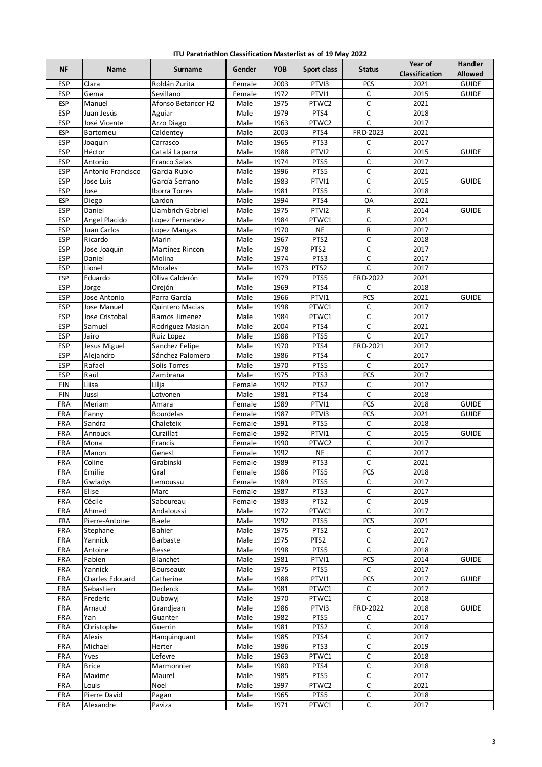| ITU Paratriathlon Classification Masterlist as of 19 May 2022 |  |  |  |
|---------------------------------------------------------------|--|--|--|
|---------------------------------------------------------------|--|--|--|

| <b>NF</b>                | Name              | <b>Surname</b>                         | Gender           | <b>YOB</b>   | Sport class       | <b>Status</b>         | Year of<br><b>Classification</b> | <b>Handler</b><br><b>Allowed</b> |
|--------------------------|-------------------|----------------------------------------|------------------|--------------|-------------------|-----------------------|----------------------------------|----------------------------------|
| <b>ESP</b>               | Clara             | Roldán Zurita                          | Female           | 2003         | PTVI3             | PCS                   | 2021                             | <b>GUIDE</b>                     |
| <b>ESP</b>               | Gema              | Sevillano                              | Female           | 1972         | PTVI1             | C                     | 2015                             | <b>GUIDE</b>                     |
| <b>ESP</b>               | Manuel            | Afonso Betancor H2                     | Male             | 1975         | PTWC2             | $\mathsf C$           | 2021                             |                                  |
| <b>ESP</b>               | Juan Jesús        | Aguiar                                 | Male             | 1979         | PTS4              | C                     | 2018                             |                                  |
| <b>ESP</b>               | José Vicente      | Arzo Diago                             | Male             | 1963         | PTWC2             | $\mathsf C$           | 2017                             |                                  |
| <b>ESP</b>               | <b>Bartomeu</b>   | Caldentey                              | Male             | 2003         | PTS4              | FRD-2023              | 2021                             |                                  |
| ESP                      | Joaquin           | Carrasco                               | Male             | 1965         | PTS3              | C                     | 2017                             |                                  |
| <b>ESP</b>               | Héctor            | Catalá Laparra                         | Male             | 1988         | PTVI2             | C                     | 2015                             | <b>GUIDE</b>                     |
| ESP<br>ESP               | Antonio           | Franco Salas<br>Garcia Rubio           | Male             | 1974         | PTS5              | C<br>C                | 2017<br>2021                     |                                  |
|                          | Antonio Francisco |                                        | Male             | 1996         | PTS5<br>PTVI1     |                       | 2015                             | <b>GUIDE</b>                     |
| ESP<br><b>ESP</b>        | Jose Luis<br>Jose | García Serrano<br><b>Iborra Torres</b> | Male<br>Male     | 1983<br>1981 | PTS5              | $\mathsf C$<br>C      | 2018                             |                                  |
| <b>ESP</b>               | Diego             | Lardon                                 | Male             | 1994         | PTS4              | OA                    | 2021                             |                                  |
| ESP                      | Daniel            | Llambrich Gabriel                      | Male             | 1975         | PTVI2             | R                     | 2014                             | <b>GUIDE</b>                     |
| ESP                      | Angel Placido     | Lopez Fernandez                        | Male             | 1984         | PTWC1             | C                     | 2021                             |                                  |
| ESP                      | Juan Carlos       | Lopez Mangas                           | Male             | 1970         | <b>NE</b>         | R                     | 2017                             |                                  |
| <b>ESP</b>               | Ricardo           | Marin                                  | Male             | 1967         | PTS <sub>2</sub>  | C                     | 2018                             |                                  |
| ESP                      | Jose Joaquín      | Martínez Rincon                        | Male             | 1978         | PTS <sub>2</sub>  | $\mathsf C$           | 2017                             |                                  |
| ESP                      | Daniel            | Molina                                 | Male             | 1974         | PTS3              | $\mathsf C$           | 2017                             |                                  |
| ESP                      | Lionel            | Morales                                | Male             | 1973         | PTS <sub>2</sub>  | C                     | 2017                             |                                  |
| <b>ESP</b>               | Eduardo           | Oliva Calderón                         | Male             | 1979         | PTS5              | FRD-2022              | 2021                             |                                  |
| <b>ESP</b>               | Jorge             | Orejón                                 | Male             | 1969         | PTS4              | C                     | 2018                             |                                  |
| ESP                      | Jose Antonio      | Parra García                           | Male             | 1966         | PTVI1             | PCS                   | 2021                             | <b>GUIDE</b>                     |
| ESP                      | Jose Manuel       | Quintero Macias                        | Male             | 1998         | PTWC1             | $\mathsf C$           | 2017                             |                                  |
| ESP                      | Jose Cristobal    | Ramos Jimenez                          | Male             | 1984         | PTWC1             | $\mathsf C$           | 2017                             |                                  |
| ESP                      | Samuel            | Rodriguez Masian                       | Male             | 2004         | PTS4              | С                     | 2021                             |                                  |
| ESP                      | Jairo             | Ruiz Lopez                             | Male             | 1988         | PTS5              | C                     | 2017                             |                                  |
| ESP                      | Jesus Miguel      | Sanchez Felipe                         | Male             | 1970         | PTS4              | FRD-2021              | 2017                             |                                  |
| ESP                      | Alejandro         | Sánchez Palomero                       | Male             | 1986         | PTS4              | C                     | 2017                             |                                  |
| <b>ESP</b>               | Rafael            | Solis Torres                           | Male             | 1970         | PTS5              | C                     | 2017                             |                                  |
| <b>ESP</b>               | Raúl              | Zambrana                               | Male             | 1975         | PTS3              | PCS                   | 2017                             |                                  |
| <b>FIN</b>               | Liisa             | Lilja                                  | Female           | 1992         | PTS <sub>2</sub>  | $\mathsf C$           | 2017                             |                                  |
| <b>FIN</b><br>FRA        | Jussi<br>Meriam   | Lotvonen                               | Male             | 1981<br>1989 | PTS4<br>PTVI1     | $\overline{C}$<br>PCS | 2018<br>2018                     | <b>GUIDE</b>                     |
|                          |                   | Amara                                  | Female           |              | PTV <sub>13</sub> |                       |                                  |                                  |
| <b>FRA</b><br>FRA        | Fanny<br>Sandra   | <b>Bourdelas</b><br>Chaleteix          | Female<br>Female | 1987<br>1991 | PTS5              | PCS<br>C              | 2021<br>2018                     | <b>GUIDE</b>                     |
| FRA                      | Annouck           | Curzillat                              | Female           | 1992         | PTVI1             | $\mathsf C$           | 2015                             | <b>GUIDE</b>                     |
| <b>FRA</b>               | Mona              | Francis                                | Female           | 1990         | PTWC2             | $\mathsf C$           | 2017                             |                                  |
| FRA                      | Manon             | Genest                                 | Female           | 1992         | <b>NE</b>         | C                     | 2017                             |                                  |
| FRA                      | Coline            | Grabinski                              | Female           | 1989         | PTS3              | $\mathsf C$           | 2021                             |                                  |
| <b>FRA</b>               | Emilie            | Gral                                   | Female           | 1986         | PTS5              | <b>PCS</b>            | 2018                             |                                  |
| <b>FRA</b>               | Gwladys           | Lemoussu                               | Female           | 1989         | PTS5              | C                     | 2017                             |                                  |
| <b>FRA</b>               | Elise             | Marc                                   | Female           | 1987         | PTS3              | $\mathsf C$           | 2017                             |                                  |
| FRA                      | Cécile            | Saboureau                              | Female           | 1983         | PTS <sub>2</sub>  | С                     | 2019                             |                                  |
| <b>FRA</b>               | Ahmed             | Andaloussi                             | Male             | 1972         | PTWC1             | $\mathsf C$           | 2017                             |                                  |
| <b>FRA</b>               | Pierre-Antoine    | Baele                                  | Male             | 1992         | PTS5              | <b>PCS</b>            | 2021                             |                                  |
| <b>FRA</b>               | Stephane          | <b>Bahier</b>                          | Male             | 1975         | PTS <sub>2</sub>  | $\mathsf C$           | 2017                             |                                  |
| FRA                      | Yannick           | Barbaste                               | Male             | 1975         | PTS2              | С                     | 2017                             |                                  |
| <b>FRA</b>               | Antoine           | Besse                                  | Male             | 1998         | PTS5              | C                     | 2018                             |                                  |
| <b>FRA</b>               | Fabien            | Blanchet                               | Male             | 1981         | PTVI1             | <b>PCS</b>            | 2014                             | <b>GUIDE</b>                     |
| <b>FRA</b>               | Yannick           | Bourseaux                              | Male             | 1975         | PTS5              | $\mathsf{C}$          | 2017                             |                                  |
| <b>FRA</b>               | Charles Edouard   | Catherine                              | Male             | 1988         | PTVI1             | PCS                   | 2017                             | <b>GUIDE</b>                     |
| FRA                      | Sebastien         | Declerck                               | Male             | 1981         | PTWC1             | C                     | 2017                             |                                  |
| FRA                      | Frederic          | Dubowyj                                | Male             | 1970         | PTWC1             | $\mathsf C$           | 2018                             |                                  |
| <b>FRA</b><br><b>FRA</b> | Arnaud<br>Yan     | Grandjean<br>Guanter                   | Male<br>Male     | 1986<br>1982 | PTVI3<br>PTS5     | FRD-2022<br>С         | 2018<br>2017                     | <b>GUIDE</b>                     |
| FRA                      | Christophe        | Guerrin                                | Male             | 1981         | PTS <sub>2</sub>  | C                     | 2018                             |                                  |
| <b>FRA</b>               | Alexis            | Hanquinquant                           | Male             | 1985         | PTS4              | С                     | 2017                             |                                  |
| FRA                      | Michael           | Herter                                 | Male             | 1986         | PTS3              | C                     | 2019                             |                                  |
| <b>FRA</b>               | Yves              | Lefevre                                | Male             | 1963         | PTWC1             | $\mathsf C$           | 2018                             |                                  |
| FRA                      | <b>Brice</b>      | Marmonnier                             | Male             | 1980         | PTS4              | C                     | 2018                             |                                  |
| FRA                      | Maxime            | Maurel                                 | Male             | 1985         | PTS5              | $\mathsf C$           | 2017                             |                                  |
| FRA                      | Louis             | Noel                                   | Male             | 1997         | PTWC2             | C                     | 2021                             |                                  |
| <b>FRA</b>               | Pierre David      | Pagan                                  | Male             | 1965         | PTS5              | $\mathsf C$           | 2018                             |                                  |
| FRA                      | Alexandre         | Paviza                                 | Male             | 1971         | PTWC1             | $\mathsf C$           | 2017                             |                                  |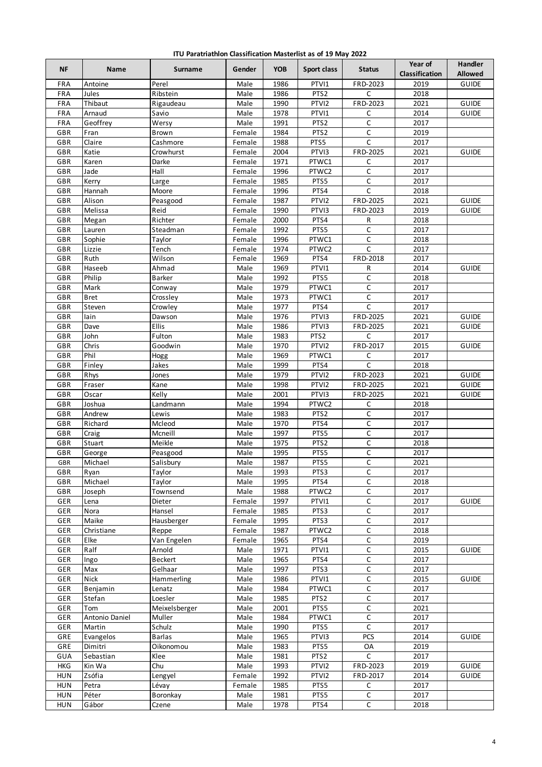| ITU Paratriathlon Classification Masterlist as of 19 May 2022 |  |  |  |
|---------------------------------------------------------------|--|--|--|
|---------------------------------------------------------------|--|--|--|

| 1986<br><b>GUIDE</b><br><b>FRA</b><br>Antoine<br>Perel<br>Male<br>PTVI1<br>FRD-2023<br>2019<br>$\mathsf{C}$<br>FRA<br>1986<br>PTS <sub>2</sub><br>2018<br>Jules<br>Ribstein<br>Male<br>1990<br>PTVI2<br>FRD-2023<br>2021<br><b>GUIDE</b><br>FRA<br>Thibaut<br>Rigaudeau<br>Male<br>1978<br>2014<br><b>FRA</b><br>Arnaud<br>Savio<br>Male<br>PTVI1<br>С<br><b>GUIDE</b><br>1991<br>FRA<br>Geoffrey<br>Male<br>PTS <sub>2</sub><br>C<br>2017<br>Wersy<br>C<br>GBR<br>1984<br>PTS <sub>2</sub><br>2019<br>Fran<br>Brown<br>Female<br>PTS5<br>$\mathsf{C}$<br>2017<br>GBR<br>Claire<br>1988<br>Cashmore<br>Female<br>2004<br>PTV <sub>13</sub><br>FRD-2025<br>2021<br>GBR<br>Katie<br>Crowhurst<br><b>GUIDE</b><br>Female<br>2017<br>GBR<br>Karen<br>Female<br>1971<br>PTWC1<br>Darke<br>C<br>$\mathsf C$<br>GBR<br>Hall<br>1996<br>PTWC2<br>2017<br>Jade<br>Female<br>$\mathsf C$<br>GBR<br>1985<br>PTS5<br>2017<br>Kerry<br>Large<br>Female<br>C<br>1996<br>PTS4<br>2018<br>GBR<br>Hannah<br>Moore<br>Female<br>Alison<br>2021<br>GBR<br>1987<br>PTVI2<br>FRD-2025<br><b>GUIDE</b><br>Peasgood<br>Female<br>Reid<br>GBR<br>Melissa<br>Female<br>1990<br>PTVI3<br>FRD-2023<br>2019<br><b>GUIDE</b><br>GBR<br>Richter<br>2000<br>PTS4<br>2018<br>Megan<br>R<br>Female<br>$\mathsf C$<br>GBR<br>1992<br>PTS5<br>2017<br>Lauren<br>Steadman<br>Female<br>GBR<br>Sophie<br>1996<br>PTWC1<br>2018<br>Taylor<br>С<br>Female<br>1974<br>GBR<br>Lizzie<br>Tench<br>Female<br>PTWC2<br>C<br>2017<br>FRD-2018<br>GBR<br>Ruth<br>Wilson<br>1969<br>PTS4<br>2017<br>Female<br>GBR<br>Haseeb<br>1969<br>R<br>2014<br>Ahmad<br>Male<br>PTVI1<br><b>GUIDE</b><br>C<br>Philip<br>Male<br>1992<br>PTS5<br>2018<br>GBR<br>Barker<br>GBR<br>1979<br>2017<br>Mark<br>Male<br>PTWC1<br>C<br>Conway<br>1973<br>C<br>GBR<br><b>Bret</b><br>Crossley<br>Male<br>PTWC1<br>2017<br>C<br>1977<br>2017<br>GBR<br>Steven<br>Crowley<br>Male<br>PTS4<br>1976<br>GBR<br>lain<br>PTVI3<br>FRD-2025<br>2021<br><b>GUIDE</b><br>Male<br>Dawson<br>1986<br>2021<br>GBR<br>Dave<br>Ellis<br>Male<br>PTVI3<br>FRD-2025<br><b>GUIDE</b><br>1983<br>PTS <sub>2</sub><br>2017<br>GBR<br>John<br>Fulton<br>Male<br>C<br>GBR<br>1970<br>PTVI2<br>FRD-2017<br>2015<br>Chris<br>Goodwin<br>Male<br><b>GUIDE</b><br>GBR<br>Phil<br>1969<br>2017<br>Male<br>PTWC1<br>C<br>Hogg<br>C<br>Finley<br>Jakes<br>Male<br>1999<br>PTS4<br>2018<br>GBR<br>1979<br>FRD-2023<br>2021<br>GBR<br>Rhys<br>Male<br>PTVI2<br><b>GUIDE</b><br>Jones<br>GBR<br>1998<br>PTVI2<br>2021<br>Fraser<br>Male<br>FRD-2025<br><b>GUIDE</b><br>Kane<br>GBR<br>2001<br>2021<br>Oscar<br>Kelly<br>Male<br>PTVI3<br>FRD-2025<br><b>GUIDE</b><br>1994<br>PTWC2<br>GBR<br>Joshua<br>Landmann<br>Male<br>C<br>2018<br>1983<br>GBR<br>Andrew<br>PTS <sub>2</sub><br>C<br>2017<br>Male<br>Lewis<br>1970<br>C<br>2017<br>GBR<br>Richard<br>Mcleod<br>Male<br>PTS4<br>C<br>GBR<br>Male<br>1997<br>PTS5<br>2017<br>Craig<br>Mcneill<br>$\mathsf C$<br>GBR<br>Meikle<br>1975<br>PTS <sub>2</sub><br>2018<br>Stuart<br>Male<br>1995<br>PTS5<br>C<br>2017<br>GBR<br>Male<br>George<br>Peasgood<br>$\mathsf C$<br>Michael<br>Salisbury<br>PTS5<br>GBR<br>Male<br>1987<br>2021<br>GBR<br>Taylor<br>Male<br>1993<br>С<br>2017<br>Ryan<br>PTS3<br>C<br>Michael<br>Taylor<br>1995<br>2018<br>GBR<br>Male<br>PTS4<br>$\mathsf C$<br>Townsend<br>Male<br>1988<br>PTWC2<br>2017<br>GBR<br>Joseph<br>1997<br>С<br>GER<br>Dieter<br>Female<br>PTVI1<br>2017<br><b>GUIDE</b><br>Lena<br>$\mathsf C$<br>GER<br>1985<br>2017<br>Nora<br>PTS3<br>Hansel<br>Female<br>C<br>GER<br>Maike<br>Hausberger<br>1995<br>PTS3<br>2017<br>Female<br>$\mathsf C$<br>GER<br>Christiane<br>1987<br>PTWC2<br>2018<br>Reppe<br>Female<br>Elke<br>Van Engelen<br>1965<br>PTS4<br>С<br>2019<br>GER<br>Female<br>GER<br>Ralf<br>1971<br>PTVI1<br>$\mathsf C$<br>2015<br>GUIDE<br>Arnold<br>Male<br>$\mathsf C$<br>GER<br>Beckert<br>Male<br>1965<br>PTS4<br>2017<br>Ingo<br>$\overline{C}$<br>GER<br>Max<br>Gelhaar<br>Male<br>1997<br>PTS3<br>2017<br>С<br>GER<br>Nick<br>1986<br>PTVI1<br>2015<br>Hammerling<br>Male<br><b>GUIDE</b><br>Benjamin<br>$\mathsf C$<br>2017<br>GER<br>Male<br>1984<br>PTWC1<br>Lenatz<br>$\mathsf C$<br>GER<br>1985<br>PTS <sub>2</sub><br>2017<br>Stefan<br>Loesler<br>Male<br>$\mathsf C$<br>GER<br>Male<br>2001<br>PTS5<br>2021<br>Tom<br>Meixelsberger<br>$\mathsf C$<br>GER<br>Antonio Daniel<br>1984<br>PTWC1<br>2017<br>Muller<br>Male<br>GER<br>Schulz<br>1990<br>PTS5<br>2017<br>Martin<br>Male<br>C<br>GRE<br>1965<br><b>PCS</b><br>2014<br>Evangelos<br><b>Barlas</b><br>Male<br>PTVI3<br><b>GUIDE</b><br>GRE<br>1983<br>PTS5<br>2019<br>Dimitri<br>Oikonomou<br>Male<br>OA<br>C<br>GUA<br>Sebastian<br>Male<br>1981<br>PTS <sub>2</sub><br>2017<br>Klee<br><b>HKG</b><br>1993<br>FRD-2023<br>2019<br><b>GUIDE</b><br>Kin Wa<br>Chu<br>Male<br>PTVI2<br>Zsófia<br>1992<br><b>HUN</b><br>Female<br>PTVI2<br>FRD-2017<br>2014<br><b>GUIDE</b><br>Lengyel<br>1985<br><b>HUN</b><br>Petra<br>Female<br>PTS5<br>С<br>2017<br>Lévay<br>C<br>HUN<br>Péter<br>1981<br>2017<br>Boronkay<br>Male<br>PTS5<br>$\mathsf C$<br>Gábor<br>1978<br>PTS4<br>2018<br><b>HUN</b><br>Male<br>Czene | NF | Name | Surname | Gender | <b>YOB</b> | Sport class | <b>Status</b> | Year of<br><b>Classification</b> | <b>Handler</b><br><b>Allowed</b> |
|----------------------------------------------------------------------------------------------------------------------------------------------------------------------------------------------------------------------------------------------------------------------------------------------------------------------------------------------------------------------------------------------------------------------------------------------------------------------------------------------------------------------------------------------------------------------------------------------------------------------------------------------------------------------------------------------------------------------------------------------------------------------------------------------------------------------------------------------------------------------------------------------------------------------------------------------------------------------------------------------------------------------------------------------------------------------------------------------------------------------------------------------------------------------------------------------------------------------------------------------------------------------------------------------------------------------------------------------------------------------------------------------------------------------------------------------------------------------------------------------------------------------------------------------------------------------------------------------------------------------------------------------------------------------------------------------------------------------------------------------------------------------------------------------------------------------------------------------------------------------------------------------------------------------------------------------------------------------------------------------------------------------------------------------------------------------------------------------------------------------------------------------------------------------------------------------------------------------------------------------------------------------------------------------------------------------------------------------------------------------------------------------------------------------------------------------------------------------------------------------------------------------------------------------------------------------------------------------------------------------------------------------------------------------------------------------------------------------------------------------------------------------------------------------------------------------------------------------------------------------------------------------------------------------------------------------------------------------------------------------------------------------------------------------------------------------------------------------------------------------------------------------------------------------------------------------------------------------------------------------------------------------------------------------------------------------------------------------------------------------------------------------------------------------------------------------------------------------------------------------------------------------------------------------------------------------------------------------------------------------------------------------------------------------------------------------------------------------------------------------------------------------------------------------------------------------------------------------------------------------------------------------------------------------------------------------------------------------------------------------------------------------------------------------------------------------------------------------------------------------------------------------------------------------------------------------------------------------------------------------------------------------------------------------------------------------------------------------------------------------------------------------------------------------------------------------------------------------------------------------------------------------------------------------------------------------------------------------------------------------------------------------------------------------------------------------------------------------------------------------------------------------------------------------------------------------------------------------------------------------------------------------------------------------------------------------------------------------------------------------------------------------------------------------------------------------------------------------------------------------------------------------------------------------------------------------|----|------|---------|--------|------------|-------------|---------------|----------------------------------|----------------------------------|
|                                                                                                                                                                                                                                                                                                                                                                                                                                                                                                                                                                                                                                                                                                                                                                                                                                                                                                                                                                                                                                                                                                                                                                                                                                                                                                                                                                                                                                                                                                                                                                                                                                                                                                                                                                                                                                                                                                                                                                                                                                                                                                                                                                                                                                                                                                                                                                                                                                                                                                                                                                                                                                                                                                                                                                                                                                                                                                                                                                                                                                                                                                                                                                                                                                                                                                                                                                                                                                                                                                                                                                                                                                                                                                                                                                                                                                                                                                                                                                                                                                                                                                                                                                                                                                                                                                                                                                                                                                                                                                                                                                                                                                                                                                                                                                                                                                                                                                                                                                                                                                                                                                                                                                                              |    |      |         |        |            |             |               |                                  |                                  |
|                                                                                                                                                                                                                                                                                                                                                                                                                                                                                                                                                                                                                                                                                                                                                                                                                                                                                                                                                                                                                                                                                                                                                                                                                                                                                                                                                                                                                                                                                                                                                                                                                                                                                                                                                                                                                                                                                                                                                                                                                                                                                                                                                                                                                                                                                                                                                                                                                                                                                                                                                                                                                                                                                                                                                                                                                                                                                                                                                                                                                                                                                                                                                                                                                                                                                                                                                                                                                                                                                                                                                                                                                                                                                                                                                                                                                                                                                                                                                                                                                                                                                                                                                                                                                                                                                                                                                                                                                                                                                                                                                                                                                                                                                                                                                                                                                                                                                                                                                                                                                                                                                                                                                                                              |    |      |         |        |            |             |               |                                  |                                  |
|                                                                                                                                                                                                                                                                                                                                                                                                                                                                                                                                                                                                                                                                                                                                                                                                                                                                                                                                                                                                                                                                                                                                                                                                                                                                                                                                                                                                                                                                                                                                                                                                                                                                                                                                                                                                                                                                                                                                                                                                                                                                                                                                                                                                                                                                                                                                                                                                                                                                                                                                                                                                                                                                                                                                                                                                                                                                                                                                                                                                                                                                                                                                                                                                                                                                                                                                                                                                                                                                                                                                                                                                                                                                                                                                                                                                                                                                                                                                                                                                                                                                                                                                                                                                                                                                                                                                                                                                                                                                                                                                                                                                                                                                                                                                                                                                                                                                                                                                                                                                                                                                                                                                                                                              |    |      |         |        |            |             |               |                                  |                                  |
|                                                                                                                                                                                                                                                                                                                                                                                                                                                                                                                                                                                                                                                                                                                                                                                                                                                                                                                                                                                                                                                                                                                                                                                                                                                                                                                                                                                                                                                                                                                                                                                                                                                                                                                                                                                                                                                                                                                                                                                                                                                                                                                                                                                                                                                                                                                                                                                                                                                                                                                                                                                                                                                                                                                                                                                                                                                                                                                                                                                                                                                                                                                                                                                                                                                                                                                                                                                                                                                                                                                                                                                                                                                                                                                                                                                                                                                                                                                                                                                                                                                                                                                                                                                                                                                                                                                                                                                                                                                                                                                                                                                                                                                                                                                                                                                                                                                                                                                                                                                                                                                                                                                                                                                              |    |      |         |        |            |             |               |                                  |                                  |
|                                                                                                                                                                                                                                                                                                                                                                                                                                                                                                                                                                                                                                                                                                                                                                                                                                                                                                                                                                                                                                                                                                                                                                                                                                                                                                                                                                                                                                                                                                                                                                                                                                                                                                                                                                                                                                                                                                                                                                                                                                                                                                                                                                                                                                                                                                                                                                                                                                                                                                                                                                                                                                                                                                                                                                                                                                                                                                                                                                                                                                                                                                                                                                                                                                                                                                                                                                                                                                                                                                                                                                                                                                                                                                                                                                                                                                                                                                                                                                                                                                                                                                                                                                                                                                                                                                                                                                                                                                                                                                                                                                                                                                                                                                                                                                                                                                                                                                                                                                                                                                                                                                                                                                                              |    |      |         |        |            |             |               |                                  |                                  |
|                                                                                                                                                                                                                                                                                                                                                                                                                                                                                                                                                                                                                                                                                                                                                                                                                                                                                                                                                                                                                                                                                                                                                                                                                                                                                                                                                                                                                                                                                                                                                                                                                                                                                                                                                                                                                                                                                                                                                                                                                                                                                                                                                                                                                                                                                                                                                                                                                                                                                                                                                                                                                                                                                                                                                                                                                                                                                                                                                                                                                                                                                                                                                                                                                                                                                                                                                                                                                                                                                                                                                                                                                                                                                                                                                                                                                                                                                                                                                                                                                                                                                                                                                                                                                                                                                                                                                                                                                                                                                                                                                                                                                                                                                                                                                                                                                                                                                                                                                                                                                                                                                                                                                                                              |    |      |         |        |            |             |               |                                  |                                  |
|                                                                                                                                                                                                                                                                                                                                                                                                                                                                                                                                                                                                                                                                                                                                                                                                                                                                                                                                                                                                                                                                                                                                                                                                                                                                                                                                                                                                                                                                                                                                                                                                                                                                                                                                                                                                                                                                                                                                                                                                                                                                                                                                                                                                                                                                                                                                                                                                                                                                                                                                                                                                                                                                                                                                                                                                                                                                                                                                                                                                                                                                                                                                                                                                                                                                                                                                                                                                                                                                                                                                                                                                                                                                                                                                                                                                                                                                                                                                                                                                                                                                                                                                                                                                                                                                                                                                                                                                                                                                                                                                                                                                                                                                                                                                                                                                                                                                                                                                                                                                                                                                                                                                                                                              |    |      |         |        |            |             |               |                                  |                                  |
|                                                                                                                                                                                                                                                                                                                                                                                                                                                                                                                                                                                                                                                                                                                                                                                                                                                                                                                                                                                                                                                                                                                                                                                                                                                                                                                                                                                                                                                                                                                                                                                                                                                                                                                                                                                                                                                                                                                                                                                                                                                                                                                                                                                                                                                                                                                                                                                                                                                                                                                                                                                                                                                                                                                                                                                                                                                                                                                                                                                                                                                                                                                                                                                                                                                                                                                                                                                                                                                                                                                                                                                                                                                                                                                                                                                                                                                                                                                                                                                                                                                                                                                                                                                                                                                                                                                                                                                                                                                                                                                                                                                                                                                                                                                                                                                                                                                                                                                                                                                                                                                                                                                                                                                              |    |      |         |        |            |             |               |                                  |                                  |
|                                                                                                                                                                                                                                                                                                                                                                                                                                                                                                                                                                                                                                                                                                                                                                                                                                                                                                                                                                                                                                                                                                                                                                                                                                                                                                                                                                                                                                                                                                                                                                                                                                                                                                                                                                                                                                                                                                                                                                                                                                                                                                                                                                                                                                                                                                                                                                                                                                                                                                                                                                                                                                                                                                                                                                                                                                                                                                                                                                                                                                                                                                                                                                                                                                                                                                                                                                                                                                                                                                                                                                                                                                                                                                                                                                                                                                                                                                                                                                                                                                                                                                                                                                                                                                                                                                                                                                                                                                                                                                                                                                                                                                                                                                                                                                                                                                                                                                                                                                                                                                                                                                                                                                                              |    |      |         |        |            |             |               |                                  |                                  |
|                                                                                                                                                                                                                                                                                                                                                                                                                                                                                                                                                                                                                                                                                                                                                                                                                                                                                                                                                                                                                                                                                                                                                                                                                                                                                                                                                                                                                                                                                                                                                                                                                                                                                                                                                                                                                                                                                                                                                                                                                                                                                                                                                                                                                                                                                                                                                                                                                                                                                                                                                                                                                                                                                                                                                                                                                                                                                                                                                                                                                                                                                                                                                                                                                                                                                                                                                                                                                                                                                                                                                                                                                                                                                                                                                                                                                                                                                                                                                                                                                                                                                                                                                                                                                                                                                                                                                                                                                                                                                                                                                                                                                                                                                                                                                                                                                                                                                                                                                                                                                                                                                                                                                                                              |    |      |         |        |            |             |               |                                  |                                  |
|                                                                                                                                                                                                                                                                                                                                                                                                                                                                                                                                                                                                                                                                                                                                                                                                                                                                                                                                                                                                                                                                                                                                                                                                                                                                                                                                                                                                                                                                                                                                                                                                                                                                                                                                                                                                                                                                                                                                                                                                                                                                                                                                                                                                                                                                                                                                                                                                                                                                                                                                                                                                                                                                                                                                                                                                                                                                                                                                                                                                                                                                                                                                                                                                                                                                                                                                                                                                                                                                                                                                                                                                                                                                                                                                                                                                                                                                                                                                                                                                                                                                                                                                                                                                                                                                                                                                                                                                                                                                                                                                                                                                                                                                                                                                                                                                                                                                                                                                                                                                                                                                                                                                                                                              |    |      |         |        |            |             |               |                                  |                                  |
|                                                                                                                                                                                                                                                                                                                                                                                                                                                                                                                                                                                                                                                                                                                                                                                                                                                                                                                                                                                                                                                                                                                                                                                                                                                                                                                                                                                                                                                                                                                                                                                                                                                                                                                                                                                                                                                                                                                                                                                                                                                                                                                                                                                                                                                                                                                                                                                                                                                                                                                                                                                                                                                                                                                                                                                                                                                                                                                                                                                                                                                                                                                                                                                                                                                                                                                                                                                                                                                                                                                                                                                                                                                                                                                                                                                                                                                                                                                                                                                                                                                                                                                                                                                                                                                                                                                                                                                                                                                                                                                                                                                                                                                                                                                                                                                                                                                                                                                                                                                                                                                                                                                                                                                              |    |      |         |        |            |             |               |                                  |                                  |
|                                                                                                                                                                                                                                                                                                                                                                                                                                                                                                                                                                                                                                                                                                                                                                                                                                                                                                                                                                                                                                                                                                                                                                                                                                                                                                                                                                                                                                                                                                                                                                                                                                                                                                                                                                                                                                                                                                                                                                                                                                                                                                                                                                                                                                                                                                                                                                                                                                                                                                                                                                                                                                                                                                                                                                                                                                                                                                                                                                                                                                                                                                                                                                                                                                                                                                                                                                                                                                                                                                                                                                                                                                                                                                                                                                                                                                                                                                                                                                                                                                                                                                                                                                                                                                                                                                                                                                                                                                                                                                                                                                                                                                                                                                                                                                                                                                                                                                                                                                                                                                                                                                                                                                                              |    |      |         |        |            |             |               |                                  |                                  |
|                                                                                                                                                                                                                                                                                                                                                                                                                                                                                                                                                                                                                                                                                                                                                                                                                                                                                                                                                                                                                                                                                                                                                                                                                                                                                                                                                                                                                                                                                                                                                                                                                                                                                                                                                                                                                                                                                                                                                                                                                                                                                                                                                                                                                                                                                                                                                                                                                                                                                                                                                                                                                                                                                                                                                                                                                                                                                                                                                                                                                                                                                                                                                                                                                                                                                                                                                                                                                                                                                                                                                                                                                                                                                                                                                                                                                                                                                                                                                                                                                                                                                                                                                                                                                                                                                                                                                                                                                                                                                                                                                                                                                                                                                                                                                                                                                                                                                                                                                                                                                                                                                                                                                                                              |    |      |         |        |            |             |               |                                  |                                  |
|                                                                                                                                                                                                                                                                                                                                                                                                                                                                                                                                                                                                                                                                                                                                                                                                                                                                                                                                                                                                                                                                                                                                                                                                                                                                                                                                                                                                                                                                                                                                                                                                                                                                                                                                                                                                                                                                                                                                                                                                                                                                                                                                                                                                                                                                                                                                                                                                                                                                                                                                                                                                                                                                                                                                                                                                                                                                                                                                                                                                                                                                                                                                                                                                                                                                                                                                                                                                                                                                                                                                                                                                                                                                                                                                                                                                                                                                                                                                                                                                                                                                                                                                                                                                                                                                                                                                                                                                                                                                                                                                                                                                                                                                                                                                                                                                                                                                                                                                                                                                                                                                                                                                                                                              |    |      |         |        |            |             |               |                                  |                                  |
|                                                                                                                                                                                                                                                                                                                                                                                                                                                                                                                                                                                                                                                                                                                                                                                                                                                                                                                                                                                                                                                                                                                                                                                                                                                                                                                                                                                                                                                                                                                                                                                                                                                                                                                                                                                                                                                                                                                                                                                                                                                                                                                                                                                                                                                                                                                                                                                                                                                                                                                                                                                                                                                                                                                                                                                                                                                                                                                                                                                                                                                                                                                                                                                                                                                                                                                                                                                                                                                                                                                                                                                                                                                                                                                                                                                                                                                                                                                                                                                                                                                                                                                                                                                                                                                                                                                                                                                                                                                                                                                                                                                                                                                                                                                                                                                                                                                                                                                                                                                                                                                                                                                                                                                              |    |      |         |        |            |             |               |                                  |                                  |
|                                                                                                                                                                                                                                                                                                                                                                                                                                                                                                                                                                                                                                                                                                                                                                                                                                                                                                                                                                                                                                                                                                                                                                                                                                                                                                                                                                                                                                                                                                                                                                                                                                                                                                                                                                                                                                                                                                                                                                                                                                                                                                                                                                                                                                                                                                                                                                                                                                                                                                                                                                                                                                                                                                                                                                                                                                                                                                                                                                                                                                                                                                                                                                                                                                                                                                                                                                                                                                                                                                                                                                                                                                                                                                                                                                                                                                                                                                                                                                                                                                                                                                                                                                                                                                                                                                                                                                                                                                                                                                                                                                                                                                                                                                                                                                                                                                                                                                                                                                                                                                                                                                                                                                                              |    |      |         |        |            |             |               |                                  |                                  |
|                                                                                                                                                                                                                                                                                                                                                                                                                                                                                                                                                                                                                                                                                                                                                                                                                                                                                                                                                                                                                                                                                                                                                                                                                                                                                                                                                                                                                                                                                                                                                                                                                                                                                                                                                                                                                                                                                                                                                                                                                                                                                                                                                                                                                                                                                                                                                                                                                                                                                                                                                                                                                                                                                                                                                                                                                                                                                                                                                                                                                                                                                                                                                                                                                                                                                                                                                                                                                                                                                                                                                                                                                                                                                                                                                                                                                                                                                                                                                                                                                                                                                                                                                                                                                                                                                                                                                                                                                                                                                                                                                                                                                                                                                                                                                                                                                                                                                                                                                                                                                                                                                                                                                                                              |    |      |         |        |            |             |               |                                  |                                  |
|                                                                                                                                                                                                                                                                                                                                                                                                                                                                                                                                                                                                                                                                                                                                                                                                                                                                                                                                                                                                                                                                                                                                                                                                                                                                                                                                                                                                                                                                                                                                                                                                                                                                                                                                                                                                                                                                                                                                                                                                                                                                                                                                                                                                                                                                                                                                                                                                                                                                                                                                                                                                                                                                                                                                                                                                                                                                                                                                                                                                                                                                                                                                                                                                                                                                                                                                                                                                                                                                                                                                                                                                                                                                                                                                                                                                                                                                                                                                                                                                                                                                                                                                                                                                                                                                                                                                                                                                                                                                                                                                                                                                                                                                                                                                                                                                                                                                                                                                                                                                                                                                                                                                                                                              |    |      |         |        |            |             |               |                                  |                                  |
|                                                                                                                                                                                                                                                                                                                                                                                                                                                                                                                                                                                                                                                                                                                                                                                                                                                                                                                                                                                                                                                                                                                                                                                                                                                                                                                                                                                                                                                                                                                                                                                                                                                                                                                                                                                                                                                                                                                                                                                                                                                                                                                                                                                                                                                                                                                                                                                                                                                                                                                                                                                                                                                                                                                                                                                                                                                                                                                                                                                                                                                                                                                                                                                                                                                                                                                                                                                                                                                                                                                                                                                                                                                                                                                                                                                                                                                                                                                                                                                                                                                                                                                                                                                                                                                                                                                                                                                                                                                                                                                                                                                                                                                                                                                                                                                                                                                                                                                                                                                                                                                                                                                                                                                              |    |      |         |        |            |             |               |                                  |                                  |
|                                                                                                                                                                                                                                                                                                                                                                                                                                                                                                                                                                                                                                                                                                                                                                                                                                                                                                                                                                                                                                                                                                                                                                                                                                                                                                                                                                                                                                                                                                                                                                                                                                                                                                                                                                                                                                                                                                                                                                                                                                                                                                                                                                                                                                                                                                                                                                                                                                                                                                                                                                                                                                                                                                                                                                                                                                                                                                                                                                                                                                                                                                                                                                                                                                                                                                                                                                                                                                                                                                                                                                                                                                                                                                                                                                                                                                                                                                                                                                                                                                                                                                                                                                                                                                                                                                                                                                                                                                                                                                                                                                                                                                                                                                                                                                                                                                                                                                                                                                                                                                                                                                                                                                                              |    |      |         |        |            |             |               |                                  |                                  |
|                                                                                                                                                                                                                                                                                                                                                                                                                                                                                                                                                                                                                                                                                                                                                                                                                                                                                                                                                                                                                                                                                                                                                                                                                                                                                                                                                                                                                                                                                                                                                                                                                                                                                                                                                                                                                                                                                                                                                                                                                                                                                                                                                                                                                                                                                                                                                                                                                                                                                                                                                                                                                                                                                                                                                                                                                                                                                                                                                                                                                                                                                                                                                                                                                                                                                                                                                                                                                                                                                                                                                                                                                                                                                                                                                                                                                                                                                                                                                                                                                                                                                                                                                                                                                                                                                                                                                                                                                                                                                                                                                                                                                                                                                                                                                                                                                                                                                                                                                                                                                                                                                                                                                                                              |    |      |         |        |            |             |               |                                  |                                  |
|                                                                                                                                                                                                                                                                                                                                                                                                                                                                                                                                                                                                                                                                                                                                                                                                                                                                                                                                                                                                                                                                                                                                                                                                                                                                                                                                                                                                                                                                                                                                                                                                                                                                                                                                                                                                                                                                                                                                                                                                                                                                                                                                                                                                                                                                                                                                                                                                                                                                                                                                                                                                                                                                                                                                                                                                                                                                                                                                                                                                                                                                                                                                                                                                                                                                                                                                                                                                                                                                                                                                                                                                                                                                                                                                                                                                                                                                                                                                                                                                                                                                                                                                                                                                                                                                                                                                                                                                                                                                                                                                                                                                                                                                                                                                                                                                                                                                                                                                                                                                                                                                                                                                                                                              |    |      |         |        |            |             |               |                                  |                                  |
|                                                                                                                                                                                                                                                                                                                                                                                                                                                                                                                                                                                                                                                                                                                                                                                                                                                                                                                                                                                                                                                                                                                                                                                                                                                                                                                                                                                                                                                                                                                                                                                                                                                                                                                                                                                                                                                                                                                                                                                                                                                                                                                                                                                                                                                                                                                                                                                                                                                                                                                                                                                                                                                                                                                                                                                                                                                                                                                                                                                                                                                                                                                                                                                                                                                                                                                                                                                                                                                                                                                                                                                                                                                                                                                                                                                                                                                                                                                                                                                                                                                                                                                                                                                                                                                                                                                                                                                                                                                                                                                                                                                                                                                                                                                                                                                                                                                                                                                                                                                                                                                                                                                                                                                              |    |      |         |        |            |             |               |                                  |                                  |
|                                                                                                                                                                                                                                                                                                                                                                                                                                                                                                                                                                                                                                                                                                                                                                                                                                                                                                                                                                                                                                                                                                                                                                                                                                                                                                                                                                                                                                                                                                                                                                                                                                                                                                                                                                                                                                                                                                                                                                                                                                                                                                                                                                                                                                                                                                                                                                                                                                                                                                                                                                                                                                                                                                                                                                                                                                                                                                                                                                                                                                                                                                                                                                                                                                                                                                                                                                                                                                                                                                                                                                                                                                                                                                                                                                                                                                                                                                                                                                                                                                                                                                                                                                                                                                                                                                                                                                                                                                                                                                                                                                                                                                                                                                                                                                                                                                                                                                                                                                                                                                                                                                                                                                                              |    |      |         |        |            |             |               |                                  |                                  |
|                                                                                                                                                                                                                                                                                                                                                                                                                                                                                                                                                                                                                                                                                                                                                                                                                                                                                                                                                                                                                                                                                                                                                                                                                                                                                                                                                                                                                                                                                                                                                                                                                                                                                                                                                                                                                                                                                                                                                                                                                                                                                                                                                                                                                                                                                                                                                                                                                                                                                                                                                                                                                                                                                                                                                                                                                                                                                                                                                                                                                                                                                                                                                                                                                                                                                                                                                                                                                                                                                                                                                                                                                                                                                                                                                                                                                                                                                                                                                                                                                                                                                                                                                                                                                                                                                                                                                                                                                                                                                                                                                                                                                                                                                                                                                                                                                                                                                                                                                                                                                                                                                                                                                                                              |    |      |         |        |            |             |               |                                  |                                  |
|                                                                                                                                                                                                                                                                                                                                                                                                                                                                                                                                                                                                                                                                                                                                                                                                                                                                                                                                                                                                                                                                                                                                                                                                                                                                                                                                                                                                                                                                                                                                                                                                                                                                                                                                                                                                                                                                                                                                                                                                                                                                                                                                                                                                                                                                                                                                                                                                                                                                                                                                                                                                                                                                                                                                                                                                                                                                                                                                                                                                                                                                                                                                                                                                                                                                                                                                                                                                                                                                                                                                                                                                                                                                                                                                                                                                                                                                                                                                                                                                                                                                                                                                                                                                                                                                                                                                                                                                                                                                                                                                                                                                                                                                                                                                                                                                                                                                                                                                                                                                                                                                                                                                                                                              |    |      |         |        |            |             |               |                                  |                                  |
|                                                                                                                                                                                                                                                                                                                                                                                                                                                                                                                                                                                                                                                                                                                                                                                                                                                                                                                                                                                                                                                                                                                                                                                                                                                                                                                                                                                                                                                                                                                                                                                                                                                                                                                                                                                                                                                                                                                                                                                                                                                                                                                                                                                                                                                                                                                                                                                                                                                                                                                                                                                                                                                                                                                                                                                                                                                                                                                                                                                                                                                                                                                                                                                                                                                                                                                                                                                                                                                                                                                                                                                                                                                                                                                                                                                                                                                                                                                                                                                                                                                                                                                                                                                                                                                                                                                                                                                                                                                                                                                                                                                                                                                                                                                                                                                                                                                                                                                                                                                                                                                                                                                                                                                              |    |      |         |        |            |             |               |                                  |                                  |
|                                                                                                                                                                                                                                                                                                                                                                                                                                                                                                                                                                                                                                                                                                                                                                                                                                                                                                                                                                                                                                                                                                                                                                                                                                                                                                                                                                                                                                                                                                                                                                                                                                                                                                                                                                                                                                                                                                                                                                                                                                                                                                                                                                                                                                                                                                                                                                                                                                                                                                                                                                                                                                                                                                                                                                                                                                                                                                                                                                                                                                                                                                                                                                                                                                                                                                                                                                                                                                                                                                                                                                                                                                                                                                                                                                                                                                                                                                                                                                                                                                                                                                                                                                                                                                                                                                                                                                                                                                                                                                                                                                                                                                                                                                                                                                                                                                                                                                                                                                                                                                                                                                                                                                                              |    |      |         |        |            |             |               |                                  |                                  |
|                                                                                                                                                                                                                                                                                                                                                                                                                                                                                                                                                                                                                                                                                                                                                                                                                                                                                                                                                                                                                                                                                                                                                                                                                                                                                                                                                                                                                                                                                                                                                                                                                                                                                                                                                                                                                                                                                                                                                                                                                                                                                                                                                                                                                                                                                                                                                                                                                                                                                                                                                                                                                                                                                                                                                                                                                                                                                                                                                                                                                                                                                                                                                                                                                                                                                                                                                                                                                                                                                                                                                                                                                                                                                                                                                                                                                                                                                                                                                                                                                                                                                                                                                                                                                                                                                                                                                                                                                                                                                                                                                                                                                                                                                                                                                                                                                                                                                                                                                                                                                                                                                                                                                                                              |    |      |         |        |            |             |               |                                  |                                  |
|                                                                                                                                                                                                                                                                                                                                                                                                                                                                                                                                                                                                                                                                                                                                                                                                                                                                                                                                                                                                                                                                                                                                                                                                                                                                                                                                                                                                                                                                                                                                                                                                                                                                                                                                                                                                                                                                                                                                                                                                                                                                                                                                                                                                                                                                                                                                                                                                                                                                                                                                                                                                                                                                                                                                                                                                                                                                                                                                                                                                                                                                                                                                                                                                                                                                                                                                                                                                                                                                                                                                                                                                                                                                                                                                                                                                                                                                                                                                                                                                                                                                                                                                                                                                                                                                                                                                                                                                                                                                                                                                                                                                                                                                                                                                                                                                                                                                                                                                                                                                                                                                                                                                                                                              |    |      |         |        |            |             |               |                                  |                                  |
|                                                                                                                                                                                                                                                                                                                                                                                                                                                                                                                                                                                                                                                                                                                                                                                                                                                                                                                                                                                                                                                                                                                                                                                                                                                                                                                                                                                                                                                                                                                                                                                                                                                                                                                                                                                                                                                                                                                                                                                                                                                                                                                                                                                                                                                                                                                                                                                                                                                                                                                                                                                                                                                                                                                                                                                                                                                                                                                                                                                                                                                                                                                                                                                                                                                                                                                                                                                                                                                                                                                                                                                                                                                                                                                                                                                                                                                                                                                                                                                                                                                                                                                                                                                                                                                                                                                                                                                                                                                                                                                                                                                                                                                                                                                                                                                                                                                                                                                                                                                                                                                                                                                                                                                              |    |      |         |        |            |             |               |                                  |                                  |
|                                                                                                                                                                                                                                                                                                                                                                                                                                                                                                                                                                                                                                                                                                                                                                                                                                                                                                                                                                                                                                                                                                                                                                                                                                                                                                                                                                                                                                                                                                                                                                                                                                                                                                                                                                                                                                                                                                                                                                                                                                                                                                                                                                                                                                                                                                                                                                                                                                                                                                                                                                                                                                                                                                                                                                                                                                                                                                                                                                                                                                                                                                                                                                                                                                                                                                                                                                                                                                                                                                                                                                                                                                                                                                                                                                                                                                                                                                                                                                                                                                                                                                                                                                                                                                                                                                                                                                                                                                                                                                                                                                                                                                                                                                                                                                                                                                                                                                                                                                                                                                                                                                                                                                                              |    |      |         |        |            |             |               |                                  |                                  |
|                                                                                                                                                                                                                                                                                                                                                                                                                                                                                                                                                                                                                                                                                                                                                                                                                                                                                                                                                                                                                                                                                                                                                                                                                                                                                                                                                                                                                                                                                                                                                                                                                                                                                                                                                                                                                                                                                                                                                                                                                                                                                                                                                                                                                                                                                                                                                                                                                                                                                                                                                                                                                                                                                                                                                                                                                                                                                                                                                                                                                                                                                                                                                                                                                                                                                                                                                                                                                                                                                                                                                                                                                                                                                                                                                                                                                                                                                                                                                                                                                                                                                                                                                                                                                                                                                                                                                                                                                                                                                                                                                                                                                                                                                                                                                                                                                                                                                                                                                                                                                                                                                                                                                                                              |    |      |         |        |            |             |               |                                  |                                  |
|                                                                                                                                                                                                                                                                                                                                                                                                                                                                                                                                                                                                                                                                                                                                                                                                                                                                                                                                                                                                                                                                                                                                                                                                                                                                                                                                                                                                                                                                                                                                                                                                                                                                                                                                                                                                                                                                                                                                                                                                                                                                                                                                                                                                                                                                                                                                                                                                                                                                                                                                                                                                                                                                                                                                                                                                                                                                                                                                                                                                                                                                                                                                                                                                                                                                                                                                                                                                                                                                                                                                                                                                                                                                                                                                                                                                                                                                                                                                                                                                                                                                                                                                                                                                                                                                                                                                                                                                                                                                                                                                                                                                                                                                                                                                                                                                                                                                                                                                                                                                                                                                                                                                                                                              |    |      |         |        |            |             |               |                                  |                                  |
|                                                                                                                                                                                                                                                                                                                                                                                                                                                                                                                                                                                                                                                                                                                                                                                                                                                                                                                                                                                                                                                                                                                                                                                                                                                                                                                                                                                                                                                                                                                                                                                                                                                                                                                                                                                                                                                                                                                                                                                                                                                                                                                                                                                                                                                                                                                                                                                                                                                                                                                                                                                                                                                                                                                                                                                                                                                                                                                                                                                                                                                                                                                                                                                                                                                                                                                                                                                                                                                                                                                                                                                                                                                                                                                                                                                                                                                                                                                                                                                                                                                                                                                                                                                                                                                                                                                                                                                                                                                                                                                                                                                                                                                                                                                                                                                                                                                                                                                                                                                                                                                                                                                                                                                              |    |      |         |        |            |             |               |                                  |                                  |
|                                                                                                                                                                                                                                                                                                                                                                                                                                                                                                                                                                                                                                                                                                                                                                                                                                                                                                                                                                                                                                                                                                                                                                                                                                                                                                                                                                                                                                                                                                                                                                                                                                                                                                                                                                                                                                                                                                                                                                                                                                                                                                                                                                                                                                                                                                                                                                                                                                                                                                                                                                                                                                                                                                                                                                                                                                                                                                                                                                                                                                                                                                                                                                                                                                                                                                                                                                                                                                                                                                                                                                                                                                                                                                                                                                                                                                                                                                                                                                                                                                                                                                                                                                                                                                                                                                                                                                                                                                                                                                                                                                                                                                                                                                                                                                                                                                                                                                                                                                                                                                                                                                                                                                                              |    |      |         |        |            |             |               |                                  |                                  |
|                                                                                                                                                                                                                                                                                                                                                                                                                                                                                                                                                                                                                                                                                                                                                                                                                                                                                                                                                                                                                                                                                                                                                                                                                                                                                                                                                                                                                                                                                                                                                                                                                                                                                                                                                                                                                                                                                                                                                                                                                                                                                                                                                                                                                                                                                                                                                                                                                                                                                                                                                                                                                                                                                                                                                                                                                                                                                                                                                                                                                                                                                                                                                                                                                                                                                                                                                                                                                                                                                                                                                                                                                                                                                                                                                                                                                                                                                                                                                                                                                                                                                                                                                                                                                                                                                                                                                                                                                                                                                                                                                                                                                                                                                                                                                                                                                                                                                                                                                                                                                                                                                                                                                                                              |    |      |         |        |            |             |               |                                  |                                  |
|                                                                                                                                                                                                                                                                                                                                                                                                                                                                                                                                                                                                                                                                                                                                                                                                                                                                                                                                                                                                                                                                                                                                                                                                                                                                                                                                                                                                                                                                                                                                                                                                                                                                                                                                                                                                                                                                                                                                                                                                                                                                                                                                                                                                                                                                                                                                                                                                                                                                                                                                                                                                                                                                                                                                                                                                                                                                                                                                                                                                                                                                                                                                                                                                                                                                                                                                                                                                                                                                                                                                                                                                                                                                                                                                                                                                                                                                                                                                                                                                                                                                                                                                                                                                                                                                                                                                                                                                                                                                                                                                                                                                                                                                                                                                                                                                                                                                                                                                                                                                                                                                                                                                                                                              |    |      |         |        |            |             |               |                                  |                                  |
|                                                                                                                                                                                                                                                                                                                                                                                                                                                                                                                                                                                                                                                                                                                                                                                                                                                                                                                                                                                                                                                                                                                                                                                                                                                                                                                                                                                                                                                                                                                                                                                                                                                                                                                                                                                                                                                                                                                                                                                                                                                                                                                                                                                                                                                                                                                                                                                                                                                                                                                                                                                                                                                                                                                                                                                                                                                                                                                                                                                                                                                                                                                                                                                                                                                                                                                                                                                                                                                                                                                                                                                                                                                                                                                                                                                                                                                                                                                                                                                                                                                                                                                                                                                                                                                                                                                                                                                                                                                                                                                                                                                                                                                                                                                                                                                                                                                                                                                                                                                                                                                                                                                                                                                              |    |      |         |        |            |             |               |                                  |                                  |
|                                                                                                                                                                                                                                                                                                                                                                                                                                                                                                                                                                                                                                                                                                                                                                                                                                                                                                                                                                                                                                                                                                                                                                                                                                                                                                                                                                                                                                                                                                                                                                                                                                                                                                                                                                                                                                                                                                                                                                                                                                                                                                                                                                                                                                                                                                                                                                                                                                                                                                                                                                                                                                                                                                                                                                                                                                                                                                                                                                                                                                                                                                                                                                                                                                                                                                                                                                                                                                                                                                                                                                                                                                                                                                                                                                                                                                                                                                                                                                                                                                                                                                                                                                                                                                                                                                                                                                                                                                                                                                                                                                                                                                                                                                                                                                                                                                                                                                                                                                                                                                                                                                                                                                                              |    |      |         |        |            |             |               |                                  |                                  |
|                                                                                                                                                                                                                                                                                                                                                                                                                                                                                                                                                                                                                                                                                                                                                                                                                                                                                                                                                                                                                                                                                                                                                                                                                                                                                                                                                                                                                                                                                                                                                                                                                                                                                                                                                                                                                                                                                                                                                                                                                                                                                                                                                                                                                                                                                                                                                                                                                                                                                                                                                                                                                                                                                                                                                                                                                                                                                                                                                                                                                                                                                                                                                                                                                                                                                                                                                                                                                                                                                                                                                                                                                                                                                                                                                                                                                                                                                                                                                                                                                                                                                                                                                                                                                                                                                                                                                                                                                                                                                                                                                                                                                                                                                                                                                                                                                                                                                                                                                                                                                                                                                                                                                                                              |    |      |         |        |            |             |               |                                  |                                  |
|                                                                                                                                                                                                                                                                                                                                                                                                                                                                                                                                                                                                                                                                                                                                                                                                                                                                                                                                                                                                                                                                                                                                                                                                                                                                                                                                                                                                                                                                                                                                                                                                                                                                                                                                                                                                                                                                                                                                                                                                                                                                                                                                                                                                                                                                                                                                                                                                                                                                                                                                                                                                                                                                                                                                                                                                                                                                                                                                                                                                                                                                                                                                                                                                                                                                                                                                                                                                                                                                                                                                                                                                                                                                                                                                                                                                                                                                                                                                                                                                                                                                                                                                                                                                                                                                                                                                                                                                                                                                                                                                                                                                                                                                                                                                                                                                                                                                                                                                                                                                                                                                                                                                                                                              |    |      |         |        |            |             |               |                                  |                                  |
|                                                                                                                                                                                                                                                                                                                                                                                                                                                                                                                                                                                                                                                                                                                                                                                                                                                                                                                                                                                                                                                                                                                                                                                                                                                                                                                                                                                                                                                                                                                                                                                                                                                                                                                                                                                                                                                                                                                                                                                                                                                                                                                                                                                                                                                                                                                                                                                                                                                                                                                                                                                                                                                                                                                                                                                                                                                                                                                                                                                                                                                                                                                                                                                                                                                                                                                                                                                                                                                                                                                                                                                                                                                                                                                                                                                                                                                                                                                                                                                                                                                                                                                                                                                                                                                                                                                                                                                                                                                                                                                                                                                                                                                                                                                                                                                                                                                                                                                                                                                                                                                                                                                                                                                              |    |      |         |        |            |             |               |                                  |                                  |
|                                                                                                                                                                                                                                                                                                                                                                                                                                                                                                                                                                                                                                                                                                                                                                                                                                                                                                                                                                                                                                                                                                                                                                                                                                                                                                                                                                                                                                                                                                                                                                                                                                                                                                                                                                                                                                                                                                                                                                                                                                                                                                                                                                                                                                                                                                                                                                                                                                                                                                                                                                                                                                                                                                                                                                                                                                                                                                                                                                                                                                                                                                                                                                                                                                                                                                                                                                                                                                                                                                                                                                                                                                                                                                                                                                                                                                                                                                                                                                                                                                                                                                                                                                                                                                                                                                                                                                                                                                                                                                                                                                                                                                                                                                                                                                                                                                                                                                                                                                                                                                                                                                                                                                                              |    |      |         |        |            |             |               |                                  |                                  |
|                                                                                                                                                                                                                                                                                                                                                                                                                                                                                                                                                                                                                                                                                                                                                                                                                                                                                                                                                                                                                                                                                                                                                                                                                                                                                                                                                                                                                                                                                                                                                                                                                                                                                                                                                                                                                                                                                                                                                                                                                                                                                                                                                                                                                                                                                                                                                                                                                                                                                                                                                                                                                                                                                                                                                                                                                                                                                                                                                                                                                                                                                                                                                                                                                                                                                                                                                                                                                                                                                                                                                                                                                                                                                                                                                                                                                                                                                                                                                                                                                                                                                                                                                                                                                                                                                                                                                                                                                                                                                                                                                                                                                                                                                                                                                                                                                                                                                                                                                                                                                                                                                                                                                                                              |    |      |         |        |            |             |               |                                  |                                  |
|                                                                                                                                                                                                                                                                                                                                                                                                                                                                                                                                                                                                                                                                                                                                                                                                                                                                                                                                                                                                                                                                                                                                                                                                                                                                                                                                                                                                                                                                                                                                                                                                                                                                                                                                                                                                                                                                                                                                                                                                                                                                                                                                                                                                                                                                                                                                                                                                                                                                                                                                                                                                                                                                                                                                                                                                                                                                                                                                                                                                                                                                                                                                                                                                                                                                                                                                                                                                                                                                                                                                                                                                                                                                                                                                                                                                                                                                                                                                                                                                                                                                                                                                                                                                                                                                                                                                                                                                                                                                                                                                                                                                                                                                                                                                                                                                                                                                                                                                                                                                                                                                                                                                                                                              |    |      |         |        |            |             |               |                                  |                                  |
|                                                                                                                                                                                                                                                                                                                                                                                                                                                                                                                                                                                                                                                                                                                                                                                                                                                                                                                                                                                                                                                                                                                                                                                                                                                                                                                                                                                                                                                                                                                                                                                                                                                                                                                                                                                                                                                                                                                                                                                                                                                                                                                                                                                                                                                                                                                                                                                                                                                                                                                                                                                                                                                                                                                                                                                                                                                                                                                                                                                                                                                                                                                                                                                                                                                                                                                                                                                                                                                                                                                                                                                                                                                                                                                                                                                                                                                                                                                                                                                                                                                                                                                                                                                                                                                                                                                                                                                                                                                                                                                                                                                                                                                                                                                                                                                                                                                                                                                                                                                                                                                                                                                                                                                              |    |      |         |        |            |             |               |                                  |                                  |
|                                                                                                                                                                                                                                                                                                                                                                                                                                                                                                                                                                                                                                                                                                                                                                                                                                                                                                                                                                                                                                                                                                                                                                                                                                                                                                                                                                                                                                                                                                                                                                                                                                                                                                                                                                                                                                                                                                                                                                                                                                                                                                                                                                                                                                                                                                                                                                                                                                                                                                                                                                                                                                                                                                                                                                                                                                                                                                                                                                                                                                                                                                                                                                                                                                                                                                                                                                                                                                                                                                                                                                                                                                                                                                                                                                                                                                                                                                                                                                                                                                                                                                                                                                                                                                                                                                                                                                                                                                                                                                                                                                                                                                                                                                                                                                                                                                                                                                                                                                                                                                                                                                                                                                                              |    |      |         |        |            |             |               |                                  |                                  |
|                                                                                                                                                                                                                                                                                                                                                                                                                                                                                                                                                                                                                                                                                                                                                                                                                                                                                                                                                                                                                                                                                                                                                                                                                                                                                                                                                                                                                                                                                                                                                                                                                                                                                                                                                                                                                                                                                                                                                                                                                                                                                                                                                                                                                                                                                                                                                                                                                                                                                                                                                                                                                                                                                                                                                                                                                                                                                                                                                                                                                                                                                                                                                                                                                                                                                                                                                                                                                                                                                                                                                                                                                                                                                                                                                                                                                                                                                                                                                                                                                                                                                                                                                                                                                                                                                                                                                                                                                                                                                                                                                                                                                                                                                                                                                                                                                                                                                                                                                                                                                                                                                                                                                                                              |    |      |         |        |            |             |               |                                  |                                  |
|                                                                                                                                                                                                                                                                                                                                                                                                                                                                                                                                                                                                                                                                                                                                                                                                                                                                                                                                                                                                                                                                                                                                                                                                                                                                                                                                                                                                                                                                                                                                                                                                                                                                                                                                                                                                                                                                                                                                                                                                                                                                                                                                                                                                                                                                                                                                                                                                                                                                                                                                                                                                                                                                                                                                                                                                                                                                                                                                                                                                                                                                                                                                                                                                                                                                                                                                                                                                                                                                                                                                                                                                                                                                                                                                                                                                                                                                                                                                                                                                                                                                                                                                                                                                                                                                                                                                                                                                                                                                                                                                                                                                                                                                                                                                                                                                                                                                                                                                                                                                                                                                                                                                                                                              |    |      |         |        |            |             |               |                                  |                                  |
|                                                                                                                                                                                                                                                                                                                                                                                                                                                                                                                                                                                                                                                                                                                                                                                                                                                                                                                                                                                                                                                                                                                                                                                                                                                                                                                                                                                                                                                                                                                                                                                                                                                                                                                                                                                                                                                                                                                                                                                                                                                                                                                                                                                                                                                                                                                                                                                                                                                                                                                                                                                                                                                                                                                                                                                                                                                                                                                                                                                                                                                                                                                                                                                                                                                                                                                                                                                                                                                                                                                                                                                                                                                                                                                                                                                                                                                                                                                                                                                                                                                                                                                                                                                                                                                                                                                                                                                                                                                                                                                                                                                                                                                                                                                                                                                                                                                                                                                                                                                                                                                                                                                                                                                              |    |      |         |        |            |             |               |                                  |                                  |
|                                                                                                                                                                                                                                                                                                                                                                                                                                                                                                                                                                                                                                                                                                                                                                                                                                                                                                                                                                                                                                                                                                                                                                                                                                                                                                                                                                                                                                                                                                                                                                                                                                                                                                                                                                                                                                                                                                                                                                                                                                                                                                                                                                                                                                                                                                                                                                                                                                                                                                                                                                                                                                                                                                                                                                                                                                                                                                                                                                                                                                                                                                                                                                                                                                                                                                                                                                                                                                                                                                                                                                                                                                                                                                                                                                                                                                                                                                                                                                                                                                                                                                                                                                                                                                                                                                                                                                                                                                                                                                                                                                                                                                                                                                                                                                                                                                                                                                                                                                                                                                                                                                                                                                                              |    |      |         |        |            |             |               |                                  |                                  |
|                                                                                                                                                                                                                                                                                                                                                                                                                                                                                                                                                                                                                                                                                                                                                                                                                                                                                                                                                                                                                                                                                                                                                                                                                                                                                                                                                                                                                                                                                                                                                                                                                                                                                                                                                                                                                                                                                                                                                                                                                                                                                                                                                                                                                                                                                                                                                                                                                                                                                                                                                                                                                                                                                                                                                                                                                                                                                                                                                                                                                                                                                                                                                                                                                                                                                                                                                                                                                                                                                                                                                                                                                                                                                                                                                                                                                                                                                                                                                                                                                                                                                                                                                                                                                                                                                                                                                                                                                                                                                                                                                                                                                                                                                                                                                                                                                                                                                                                                                                                                                                                                                                                                                                                              |    |      |         |        |            |             |               |                                  |                                  |
|                                                                                                                                                                                                                                                                                                                                                                                                                                                                                                                                                                                                                                                                                                                                                                                                                                                                                                                                                                                                                                                                                                                                                                                                                                                                                                                                                                                                                                                                                                                                                                                                                                                                                                                                                                                                                                                                                                                                                                                                                                                                                                                                                                                                                                                                                                                                                                                                                                                                                                                                                                                                                                                                                                                                                                                                                                                                                                                                                                                                                                                                                                                                                                                                                                                                                                                                                                                                                                                                                                                                                                                                                                                                                                                                                                                                                                                                                                                                                                                                                                                                                                                                                                                                                                                                                                                                                                                                                                                                                                                                                                                                                                                                                                                                                                                                                                                                                                                                                                                                                                                                                                                                                                                              |    |      |         |        |            |             |               |                                  |                                  |
|                                                                                                                                                                                                                                                                                                                                                                                                                                                                                                                                                                                                                                                                                                                                                                                                                                                                                                                                                                                                                                                                                                                                                                                                                                                                                                                                                                                                                                                                                                                                                                                                                                                                                                                                                                                                                                                                                                                                                                                                                                                                                                                                                                                                                                                                                                                                                                                                                                                                                                                                                                                                                                                                                                                                                                                                                                                                                                                                                                                                                                                                                                                                                                                                                                                                                                                                                                                                                                                                                                                                                                                                                                                                                                                                                                                                                                                                                                                                                                                                                                                                                                                                                                                                                                                                                                                                                                                                                                                                                                                                                                                                                                                                                                                                                                                                                                                                                                                                                                                                                                                                                                                                                                                              |    |      |         |        |            |             |               |                                  |                                  |
|                                                                                                                                                                                                                                                                                                                                                                                                                                                                                                                                                                                                                                                                                                                                                                                                                                                                                                                                                                                                                                                                                                                                                                                                                                                                                                                                                                                                                                                                                                                                                                                                                                                                                                                                                                                                                                                                                                                                                                                                                                                                                                                                                                                                                                                                                                                                                                                                                                                                                                                                                                                                                                                                                                                                                                                                                                                                                                                                                                                                                                                                                                                                                                                                                                                                                                                                                                                                                                                                                                                                                                                                                                                                                                                                                                                                                                                                                                                                                                                                                                                                                                                                                                                                                                                                                                                                                                                                                                                                                                                                                                                                                                                                                                                                                                                                                                                                                                                                                                                                                                                                                                                                                                                              |    |      |         |        |            |             |               |                                  |                                  |
|                                                                                                                                                                                                                                                                                                                                                                                                                                                                                                                                                                                                                                                                                                                                                                                                                                                                                                                                                                                                                                                                                                                                                                                                                                                                                                                                                                                                                                                                                                                                                                                                                                                                                                                                                                                                                                                                                                                                                                                                                                                                                                                                                                                                                                                                                                                                                                                                                                                                                                                                                                                                                                                                                                                                                                                                                                                                                                                                                                                                                                                                                                                                                                                                                                                                                                                                                                                                                                                                                                                                                                                                                                                                                                                                                                                                                                                                                                                                                                                                                                                                                                                                                                                                                                                                                                                                                                                                                                                                                                                                                                                                                                                                                                                                                                                                                                                                                                                                                                                                                                                                                                                                                                                              |    |      |         |        |            |             |               |                                  |                                  |
|                                                                                                                                                                                                                                                                                                                                                                                                                                                                                                                                                                                                                                                                                                                                                                                                                                                                                                                                                                                                                                                                                                                                                                                                                                                                                                                                                                                                                                                                                                                                                                                                                                                                                                                                                                                                                                                                                                                                                                                                                                                                                                                                                                                                                                                                                                                                                                                                                                                                                                                                                                                                                                                                                                                                                                                                                                                                                                                                                                                                                                                                                                                                                                                                                                                                                                                                                                                                                                                                                                                                                                                                                                                                                                                                                                                                                                                                                                                                                                                                                                                                                                                                                                                                                                                                                                                                                                                                                                                                                                                                                                                                                                                                                                                                                                                                                                                                                                                                                                                                                                                                                                                                                                                              |    |      |         |        |            |             |               |                                  |                                  |
|                                                                                                                                                                                                                                                                                                                                                                                                                                                                                                                                                                                                                                                                                                                                                                                                                                                                                                                                                                                                                                                                                                                                                                                                                                                                                                                                                                                                                                                                                                                                                                                                                                                                                                                                                                                                                                                                                                                                                                                                                                                                                                                                                                                                                                                                                                                                                                                                                                                                                                                                                                                                                                                                                                                                                                                                                                                                                                                                                                                                                                                                                                                                                                                                                                                                                                                                                                                                                                                                                                                                                                                                                                                                                                                                                                                                                                                                                                                                                                                                                                                                                                                                                                                                                                                                                                                                                                                                                                                                                                                                                                                                                                                                                                                                                                                                                                                                                                                                                                                                                                                                                                                                                                                              |    |      |         |        |            |             |               |                                  |                                  |
|                                                                                                                                                                                                                                                                                                                                                                                                                                                                                                                                                                                                                                                                                                                                                                                                                                                                                                                                                                                                                                                                                                                                                                                                                                                                                                                                                                                                                                                                                                                                                                                                                                                                                                                                                                                                                                                                                                                                                                                                                                                                                                                                                                                                                                                                                                                                                                                                                                                                                                                                                                                                                                                                                                                                                                                                                                                                                                                                                                                                                                                                                                                                                                                                                                                                                                                                                                                                                                                                                                                                                                                                                                                                                                                                                                                                                                                                                                                                                                                                                                                                                                                                                                                                                                                                                                                                                                                                                                                                                                                                                                                                                                                                                                                                                                                                                                                                                                                                                                                                                                                                                                                                                                                              |    |      |         |        |            |             |               |                                  |                                  |
|                                                                                                                                                                                                                                                                                                                                                                                                                                                                                                                                                                                                                                                                                                                                                                                                                                                                                                                                                                                                                                                                                                                                                                                                                                                                                                                                                                                                                                                                                                                                                                                                                                                                                                                                                                                                                                                                                                                                                                                                                                                                                                                                                                                                                                                                                                                                                                                                                                                                                                                                                                                                                                                                                                                                                                                                                                                                                                                                                                                                                                                                                                                                                                                                                                                                                                                                                                                                                                                                                                                                                                                                                                                                                                                                                                                                                                                                                                                                                                                                                                                                                                                                                                                                                                                                                                                                                                                                                                                                                                                                                                                                                                                                                                                                                                                                                                                                                                                                                                                                                                                                                                                                                                                              |    |      |         |        |            |             |               |                                  |                                  |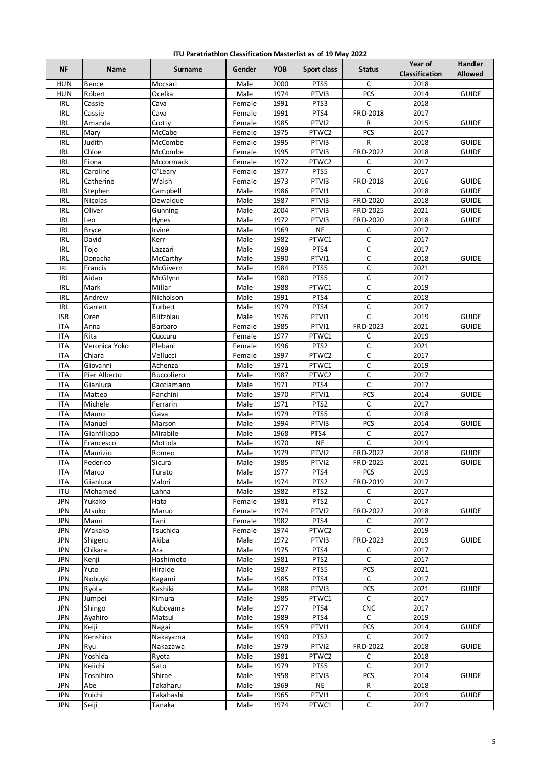| ITU Paratriathlon Classification Masterlist as of 19 May 2022 |  |  |  |
|---------------------------------------------------------------|--|--|--|
|---------------------------------------------------------------|--|--|--|

| <b>NF</b>                          | Name            | Surname            | Gender       | <b>YOB</b>   | Sport class       | <b>Status</b>             | Year of<br>Classification | Handler<br><b>Allowed</b> |
|------------------------------------|-----------------|--------------------|--------------|--------------|-------------------|---------------------------|---------------------------|---------------------------|
| <b>HUN</b>                         | Bence           | Mocsari            | Male         | 2000         | PTS5              | C                         | 2018                      |                           |
| <b>HUN</b>                         | Róbert          | Ocelka             | Male         | 1974         | PTVI3             | PCS                       | 2014                      | <b>GUIDE</b>              |
| <b>IRL</b>                         | Cassie          | Cava               | Female       | 1991         | PTS3              | C                         | 2018                      |                           |
| $\ensuremath{\mathsf{IRL}}\xspace$ | Cassie          | Cava               | Female       | 1991         | PTS4              | FRD-2018                  | 2017                      |                           |
| <b>IRL</b>                         | Amanda          | Crotty             | Female       | 1985         | PTVI2             | R                         | 2015                      | <b>GUIDE</b>              |
| IRL                                | Mary            | McCabe             | Female       | 1975         | PTWC2             | PCS                       | 2017                      |                           |
| <b>IRL</b>                         | Judith          | McCombe            | Female       | 1995         | PTVI3             | R                         | 2018                      | <b>GUIDE</b>              |
| IRL                                | Chloe           | McCombe            | Female       | 1995         | PTVI3             | FRD-2022                  | 2018                      | <b>GUIDE</b>              |
| <b>IRL</b>                         | Fiona           | Mccormack          | Female       | 1972         | PTWC2             | C                         | 2017                      |                           |
| IRL                                | Caroline        | O'Leary            | Female       | 1977         | PTS5              | C                         | 2017                      |                           |
| <b>IRL</b>                         | Catherine       | Walsh              | Female       | 1973         | PTVI3             | FRD-2018                  | 2016                      | <b>GUIDE</b>              |
| <b>IRL</b>                         | Stephen         | Campbell           | Male         | 1986         | PTVI1             | C                         | 2018                      | <b>GUIDE</b>              |
| IRL                                | Nicolas         | Dewalque           | Male         | 1987         | PTVI3             | FRD-2020                  | 2018                      | <b>GUIDE</b>              |
| IRL                                | Oliver          | Gunning            | Male         | 2004         | PTVI3             | FRD-2025                  | 2021                      | <b>GUIDE</b>              |
| IRL                                | Leo             | Hynes              | Male         | 1972         | PTVI3             | FRD-2020                  | 2018                      | <b>GUIDE</b>              |
| <b>IRL</b>                         | <b>Bryce</b>    | Irvine             | Male         | 1969         | <b>NE</b>         | C                         | 2017                      |                           |
| IRL                                | David           | Kerr               | Male         | 1982         | PTWC1             | $\mathsf C$               | 2017                      |                           |
| <b>IRL</b>                         | Tojo            | Lazzari            | Male         | 1989         | PTS4              | C                         | 2017                      |                           |
| IRL                                | Donacha         | McCarthy           | Male         | 1990         | PTVI1             | $\mathsf C$               | 2018                      | <b>GUIDE</b>              |
| IRL                                | Francis         | McGivern           | Male         | 1984         | PTS5              | $\mathsf C$               | 2021                      |                           |
| IRL                                | Aidan           | McGlynn            | Male         | 1980         | PTS5              | $\mathsf C$               | 2017                      |                           |
| <b>IRL</b>                         | Mark            | Millar             | Male         | 1988         | PTWC1             | C                         | 2019                      |                           |
| <b>IRL</b>                         | Andrew          | Nicholson          | Male         | 1991         | PTS4              | $\mathsf C$               | 2018                      |                           |
| IRL                                | Garrett         | Turbett            | Male         | 1979         | PTS4              | C                         | 2017                      |                           |
| <b>ISR</b>                         | Oren            | Blitzblau          | Male         | 1976         | PTVI1             | $\mathsf C$               | 2019                      | <b>GUIDE</b>              |
| <b>ITA</b>                         | Anna            | Barbaro            | Female       | 1985         | PTVI1             | FRD-2023                  | 2021                      | <b>GUIDE</b>              |
| <b>ITA</b>                         | Rita            | Cuccuru            | Female       | 1977         | PTWC1             | C                         | 2019                      |                           |
| <b>ITA</b>                         | Veronica Yoko   | Plebani            | Female       | 1996         | PTS <sub>2</sub>  | $\mathsf C$               | 2021                      |                           |
| <b>ITA</b>                         | Chiara          | Vellucci           | Female       | 1997         | PTWC2             | $\mathsf C$               | 2017                      |                           |
| <b>ITA</b>                         | Giovanni        | Achenza            | Male         | 1971         | PTWC1             | $\mathsf C$               | 2019                      |                           |
| <b>ITA</b>                         | Pier Alberto    | <b>Buccoliero</b>  | Male         | 1987         | PTWC2             | C                         | 2017                      |                           |
| <b>ITA</b>                         | Gianluca        | Cacciamano         | Male         | 1971         | PTS4              | $\mathsf C$<br><b>PCS</b> | 2017                      |                           |
| <b>ITA</b>                         | Matteo          | Fanchini           | Male         | 1970         | PTVI1             | $\mathsf C$               | 2014                      | <b>GUIDE</b>              |
| <b>ITA</b>                         | Michele         | Ferrarin           | Male         | 1971         | PTS <sub>2</sub>  |                           | 2017                      |                           |
| <b>ITA</b><br><b>ITA</b>           | Mauro<br>Manuel | Gava               | Male<br>Male | 1979<br>1994 | PTS5<br>PTVI3     | C<br>PCS                  | 2018                      | <b>GUIDE</b>              |
| <b>ITA</b>                         | Gianfilippo     | Marson<br>Mirabile | Male         | 1968         | PTS4              | C                         | 2014<br>2017              |                           |
| <b>ITA</b>                         | Francesco       | Mottola            | Male         | 1970         | <b>NE</b>         | $\mathsf C$               | 2019                      |                           |
| <b>ITA</b>                         | Maurizio        | Romeo              | Male         | 1979         | PTVI2             | FRD-2022                  | 2018                      | <b>GUIDE</b>              |
| <b>ITA</b>                         | Federico        | Sicura             | Male         | 1985         | PTVI2             | FRD-2025                  | 2021                      | <b>GUIDE</b>              |
| <b>ITA</b>                         | Marco           | Turato             | Male         | 1977         | PTS4              | <b>PCS</b>                | 2019                      |                           |
| <b>ITA</b>                         | Gianluca        | Valori             | Male         | 1974         | PTS2              | FRD-2019                  | 2017                      |                           |
| <b>ITU</b>                         | Mohamed         | Lahna              | Male         | 1982         | PTS <sub>2</sub>  | $\mathsf C$               | 2017                      |                           |
| <b>JPN</b>                         | Yukako          | Hata               | Female       | 1981         | PTS <sub>2</sub>  | C                         | 2017                      |                           |
| JPN                                | Atsuko          | Maruo              | Female       | 1974         | PTVI2             | FRD-2022                  | 2018                      | <b>GUIDE</b>              |
| <b>JPN</b>                         | Mami            | Tani               | Female       | 1982         | PTS4              | C                         | 2017                      |                           |
| <b>JPN</b>                         | Wakako          | Tsuchida           | Female       | 1974         | PTWC2             | $\overline{C}$            | 2019                      |                           |
| <b>JPN</b>                         | Shigeru         | Akiba              | Male         | 1972         | PTV <sub>13</sub> | FRD-2023                  | 2019                      | <b>GUIDE</b>              |
| <b>JPN</b>                         | Chikara         | Ara                | Male         | 1975         | PTS4              | С                         | 2017                      |                           |
| <b>JPN</b>                         | Kenji           | Hashimoto          | Male         | 1981         | PTS <sub>2</sub>  | C                         | 2017                      |                           |
| <b>JPN</b>                         | Yuto            | Hiraide            | Male         | 1987         | PTS5              | PCS                       | 2021                      |                           |
| <b>JPN</b>                         | Nobuyki         | Kagami             | Male         | 1985         | PTS4              | $\mathsf C$               | 2017                      |                           |
| <b>JPN</b>                         | Ryota           | Kashiki            | Male         | 1988         | PTVI3             | PCS                       | 2021                      | <b>GUIDE</b>              |
| <b>JPN</b>                         | Jumpei          | Kimura             | Male         | 1985         | PTWC1             | C                         | 2017                      |                           |
| <b>JPN</b>                         | Shingo          | Kuboyama           | Male         | 1977         | PTS4              | <b>CNC</b>                | 2017                      |                           |
| JPN                                | Ayahiro         | Matsui             | Male         | 1989         | PTS4              | C                         | 2019                      |                           |
| <b>JPN</b>                         | Keiji           | Nagai              | Male         | 1959         | PTVI1             | PCS                       | 2014                      | <b>GUIDE</b>              |
| <b>JPN</b>                         | Kenshiro        | Nakayama           | Male         | 1990         | PTS <sub>2</sub>  | C                         | 2017                      |                           |
| <b>JPN</b>                         | Ryu             | Nakazawa           | Male         | 1979         | PTVI2             | FRD-2022                  | 2018                      | <b>GUIDE</b>              |
| <b>JPN</b>                         | Yoshida         | Ryota              | Male         | 1981         | PTWC2             | C                         | 2018                      |                           |
| <b>JPN</b>                         | Keiichi         | Sato               | Male         | 1979         | PTS5              | C                         | 2017                      |                           |
| <b>JPN</b>                         | Toshihiro       | Shirae             | Male         | 1958         | PTVI3             | PCS                       | 2014                      | <b>GUIDE</b>              |
| <b>JPN</b>                         | Abe             | Takaharu           | Male         | 1969         | <b>NE</b>         | R                         | 2018                      |                           |
| <b>JPN</b>                         | Yuichi          | Takahashi          | Male         | 1965         | PTVI1             | C                         | 2019                      | <b>GUIDE</b>              |
| <b>JPN</b>                         | Seiji           | Tanaka             | Male         | 1974         | PTWC1             | $\mathsf C$               | 2017                      |                           |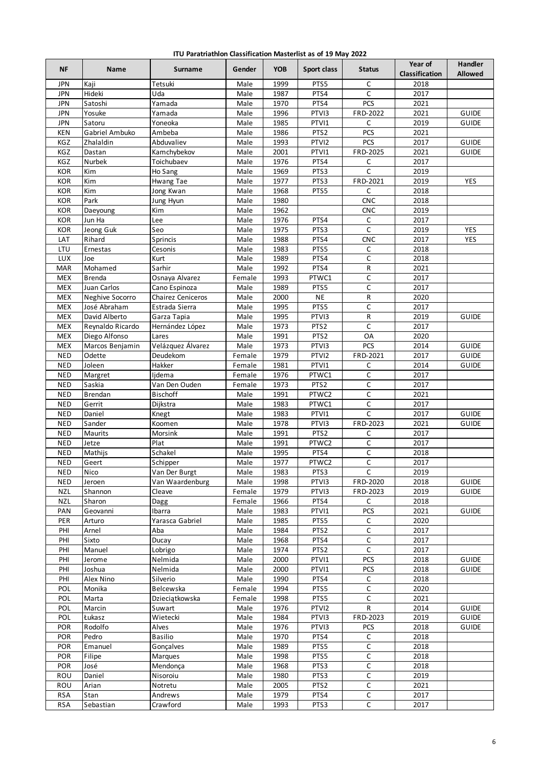| ITU Paratriathlon Classification Masterlist as of 19 May 2022 |  |  |  |
|---------------------------------------------------------------|--|--|--|
|---------------------------------------------------------------|--|--|--|

| <b>NF</b>                | Name               | Surname                     | Gender         | <b>YOB</b>   | Sport class      | <b>Status</b>            | Year of<br>Classification | <b>Handler</b><br><b>Allowed</b> |
|--------------------------|--------------------|-----------------------------|----------------|--------------|------------------|--------------------------|---------------------------|----------------------------------|
| <b>JPN</b>               | Kaji               | Tetsuki                     | Male           | 1999         | PTS5             | C                        | 2018                      |                                  |
| <b>JPN</b>               | Hideki             | Uda                         | Male           | 1987         | PTS4             | $\mathsf{C}$             | 2017                      |                                  |
| <b>JPN</b>               | Satoshi            | Yamada                      | Male           | 1970         | PTS4             | PCS                      | 2021                      |                                  |
| <b>JPN</b>               | Yosuke             | Yamada                      | Male           | 1996         | PTVI3            | FRD-2022                 | 2021                      | <b>GUIDE</b>                     |
| <b>JPN</b>               | Satoru             | Yoneoka                     | Male           | 1985         | PTVI1            | $\mathsf C$              | 2019                      | <b>GUIDE</b>                     |
| <b>KEN</b>               | Gabriel Ambuko     | Ambeba                      | Male           | 1986         | PTS <sub>2</sub> | <b>PCS</b>               | 2021                      |                                  |
| KGZ                      | Zhalaldin          | Abduvaliev                  | Male           | 1993         | PTVI2            | PCS                      | 2017                      | <b>GUIDE</b>                     |
| KGZ                      | Dastan             | Kamchybekov                 | Male           | 2001         | PTVI1            | FRD-2025                 | 2021                      | <b>GUIDE</b>                     |
| KGZ                      | Nurbek             | Toichubaev                  | Male           | 1976         | PTS4             | C                        | 2017                      |                                  |
| KOR                      | Kim                | Ho Sang                     | Male           | 1969         | PTS3             | $\mathsf{C}$             | 2019                      |                                  |
| <b>KOR</b>               | Kim                | Hwang Tae                   | Male           | 1977         | PTS3             | FRD-2021                 | 2019                      | <b>YES</b>                       |
| KOR                      | Kim                | Jong Kwan                   | Male           | 1968         | PTS5             | C                        | 2018                      |                                  |
| KOR<br>KOR               | Park               | Jung Hyun<br>Kim            | Male<br>Male   | 1980<br>1962 |                  | <b>CNC</b><br><b>CNC</b> | 2018<br>2019              |                                  |
| KOR                      | Daeyoung<br>Jun Ha | Lee                         | Male           | 1976         | PTS4             | $\mathsf{C}$             | 2017                      |                                  |
| KOR                      | Jeong Guk          | Seo                         | Male           | 1975         | PTS3             | $\mathsf C$              | 2019                      | <b>YES</b>                       |
| LAT                      | Rihard             | Sprincis                    | Male           | 1988         | PTS4             | <b>CNC</b>               | 2017                      | YES                              |
| LTU                      | Ernestas           | Cesonis                     | Male           | 1983         | PTS5             | C                        | 2018                      |                                  |
| LUX                      | Joe                | Kurt                        | Male           | 1989         | PTS4             | C                        | 2018                      |                                  |
| MAR                      | Mohamed            | Sarhir                      | Male           | 1992         | PTS4             | ${\sf R}$                | 2021                      |                                  |
| <b>MEX</b>               | <b>Brenda</b>      | Osnaya Alvarez              | Female         | 1993         | PTWC1            | С                        | 2017                      |                                  |
| <b>MEX</b>               | Juan Carlos        | Cano Espinoza               | Male           | 1989         | PTS5             | C                        | 2017                      |                                  |
| <b>MEX</b>               | Neghive Socorro    | Chairez Ceniceros           | Male           | 2000         | <b>NE</b>        | R                        | 2020                      |                                  |
| <b>MEX</b>               | José Abraham       | Estrada Sierra              | Male           | 1995         | PTS5             | $\mathsf C$              | 2017                      |                                  |
| <b>MEX</b>               | David Alberto      | Garza Tapia                 | Male           | 1995         | PTVI3            | ${\sf R}$                | 2019                      | <b>GUIDE</b>                     |
| <b>MEX</b>               | Reynaldo Ricardo   | Hernández López             | Male           | 1973         | PTS <sub>2</sub> | $\mathsf C$              | 2017                      |                                  |
| <b>MEX</b>               | Diego Alfonso      | Lares                       | Male           | 1991         | PTS <sub>2</sub> | OA                       | 2020                      |                                  |
| <b>MEX</b>               | Marcos Benjamin    | Velázquez Álvarez           | Male           | 1973         | PTVI3            | PCS                      | 2014                      | <b>GUIDE</b>                     |
| <b>NED</b>               | Odette             | Deudekom                    | Female         | 1979         | PTVI2            | FRD-2021                 | 2017                      | <b>GUIDE</b>                     |
| <b>NED</b>               | Joleen             | Hakker                      | Female         | 1981         | PTVI1            | C                        | 2014                      | <b>GUIDE</b>                     |
| <b>NED</b>               | Margret            | ljdema                      | Female         | 1976         | PTWC1            | C                        | 2017                      |                                  |
| <b>NED</b>               | Saskia             | Van Den Ouden               | Female         | 1973         | PTS <sub>2</sub> | C                        | 2017                      |                                  |
| <b>NED</b><br><b>NED</b> | Brendan<br>Gerrit  | Bischoff<br>Dijkstra        | Male<br>Male   | 1991<br>1983 | PTWC2<br>PTWC1   | $\mathsf C$<br>C         | 2021<br>2017              |                                  |
| <b>NED</b>               | Daniel             | Knegt                       | Male           | 1983         | PTVI1            | $\mathsf C$              | 2017                      | <b>GUIDE</b>                     |
| <b>NED</b>               | Sander             | Koomen                      | Male           | 1978         | PTVI3            | FRD-2023                 | 2021                      | <b>GUIDE</b>                     |
| <b>NED</b>               | Maurits            | Morsink                     | Male           | 1991         | PTS <sub>2</sub> | $\mathsf C$              | 2017                      |                                  |
| <b>NED</b>               | Jetze              | Plat                        | Male           | 1991         | PTWC2            | $\mathsf C$              | 2017                      |                                  |
| <b>NED</b>               | Mathijs            | Schakel                     | Male           | 1995         | PTS4             | С                        | 2018                      |                                  |
| <b>NED</b>               | Geert              | Schipper                    | Male           | 1977         | PTWC2            | $\mathsf C$              | 2017                      |                                  |
| <b>NED</b>               | Nico               | Van Der Burgt               | Male           | 1983         | PTS3             | $\mathsf{C}$             | 2019                      |                                  |
| <b>NED</b>               | Jeroen             | Van Waardenburg             | Male           | 1998         | PTVI3            | FRD-2020                 | 2018                      | <b>GUIDE</b>                     |
| <b>NZL</b>               | Shannon            | Cleave                      | Female         | 1979         | PTVI3            | FRD-2023                 | 2019                      | <b>GUIDE</b>                     |
| <b>NZL</b>               | Sharon             | Dagg                        | Female         | 1966         | PTS4             | C                        | 2018                      |                                  |
| PAN                      | Geovanni           | Ibarra                      | Male           | 1983         | PTVI1            | PCS                      | 2021                      | <b>GUIDE</b>                     |
| PER                      | Arturo             | Yarasca Gabriel             | Male           | 1985         | PTS5             | $\mathsf C$              | 2020                      |                                  |
| PHI                      | Arnel              | Aba                         | Male           | 1984         | PTS <sub>2</sub> | С                        | 2017                      |                                  |
| PHI                      | Sixto              | Ducay                       | Male           | 1968         | PTS4             | $\mathsf C$              | 2017                      |                                  |
| PHI                      | Manuel             | Lobrigo                     | Male           | 1974         | PTS <sub>2</sub> | $\mathsf C$              | 2017                      |                                  |
| PHI                      | Jerome             | Nelmida                     | Male           | 2000         | PTVI1            | PCS                      | 2018                      | <b>GUIDE</b>                     |
| PHI                      | Joshua             | Nelmida                     | Male           | 2000         | PTVI1            | PCS                      | 2018                      | <b>GUIDE</b>                     |
| PHI                      | Alex Nino          | Silverio                    | Male           | 1990         | PTS4             | С                        | 2018                      |                                  |
| POL<br>POL               | Monika             | Belcewska<br>Dzieciątkowska | Female         | 1994<br>1998 | PTS5<br>PTS5     | С<br>С                   | 2020<br>2021              |                                  |
| POL                      | Marta<br>Marcin    | Suwart                      | Female<br>Male | 1976         | PTVI2            | R                        | 2014                      | <b>GUIDE</b>                     |
| POL                      | Łukasz             | Wietecki                    | Male           | 1984         | PTVI3            | FRD-2023                 | 2019                      | <b>GUIDE</b>                     |
| <b>POR</b>               | Rodolfo            | Alves                       | Male           | 1976         | PTVI3            | <b>PCS</b>               | 2018                      | <b>GUIDE</b>                     |
| POR                      | Pedro              | Basilio                     | Male           | 1970         | PTS4             | C                        | 2018                      |                                  |
| <b>POR</b>               | Emanuel            | Gonçalves                   | Male           | 1989         | PTS5             | С                        | 2018                      |                                  |
| POR                      | Filipe             | Marques                     | Male           | 1998         | PTS5             | $\mathsf C$              | 2018                      |                                  |
| POR                      | José               | Mendonça                    | Male           | 1968         | PTS3             | С                        | 2018                      |                                  |
| ROU                      | Daniel             | Nisoroiu                    | Male           | 1980         | PTS3             | С                        | 2019                      |                                  |
| ROU                      | Arian              | Notretu                     | Male           | 2005         | PTS <sub>2</sub> | С                        | 2021                      |                                  |
| <b>RSA</b>               | Stan               | Andrews                     | Male           | 1979         | PTS4             | $\mathsf C$              | 2017                      |                                  |
| <b>RSA</b>               | Sebastian          | Crawford                    | Male           | 1993         | PTS3             | $\mathsf C$              | 2017                      |                                  |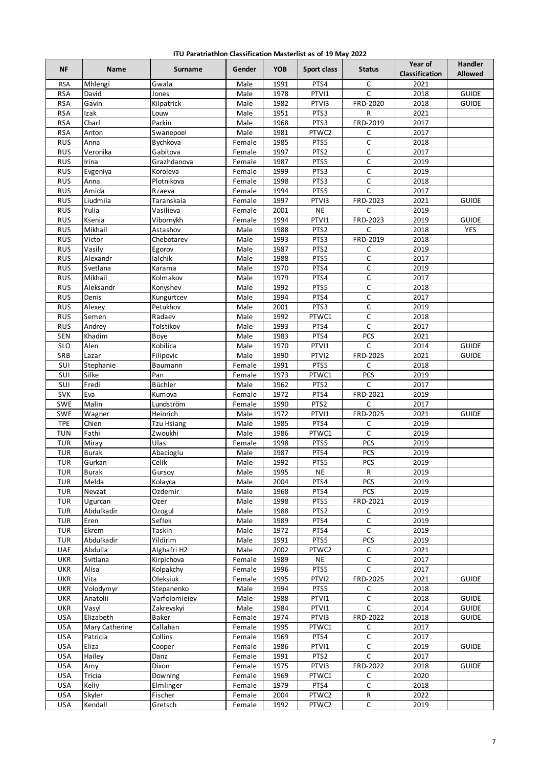| ITU Paratriathlon Classification Masterlist as of 19 May 2022 |  |  |  |  |  |
|---------------------------------------------------------------|--|--|--|--|--|
|---------------------------------------------------------------|--|--|--|--|--|

| <b>NF</b>  | Name               | Surname           | Gender           | <b>YOB</b>   | Sport class      | <b>Status</b>  | Year of<br>Classification | <b>Handler</b><br><b>Allowed</b> |
|------------|--------------------|-------------------|------------------|--------------|------------------|----------------|---------------------------|----------------------------------|
| <b>RSA</b> | Mhlengi            | Gwala             | Male             | 1991         | PTS4             | C              | 2021                      |                                  |
| <b>RSA</b> | David              | Jones             | Male             | 1978         | PTVI1            | $\mathsf{C}$   | 2018                      | <b>GUIDE</b>                     |
| <b>RSA</b> | Gavin              | Kilpatrick        | Male             | 1982         | PTVI3            | FRD-2020       | 2018                      | <b>GUIDE</b>                     |
| <b>RSA</b> | Izak               | Louw              | Male             | 1951         | PTS3             | R              | 2021                      |                                  |
| <b>RSA</b> | Charl              | Parkin            | Male             | 1968         | PTS3             | FRD-2019       | 2017                      |                                  |
| <b>RSA</b> | Anton              | Swanepoel         | Male             | 1981         | PTWC2            | C              | 2017                      |                                  |
| <b>RUS</b> | Anna               | Bychkova          | Female           | 1985         | PTS5             | C              | 2018                      |                                  |
| <b>RUS</b> | Veronika           | Gabitova          | Female           | 1997         | PTS <sub>2</sub> | C              | 2017                      |                                  |
| <b>RUS</b> | Irina              | Grazhdanova       | Female           | 1987         | PTS5             | C              | 2019                      |                                  |
| <b>RUS</b> | Evgeniya           | Koroleva          | Female           | 1999         | PTS3             | $\mathsf C$    | 2019                      |                                  |
| <b>RUS</b> | Anna               | Plotnikova        | Female           | 1998         | PTS3             | $\overline{C}$ | 2018                      |                                  |
| <b>RUS</b> | Amida              | Rzaeva            | Female           | 1994         | PTS5             | C              | 2017                      |                                  |
| <b>RUS</b> | Liudmila           | Taranskaia        | Female           | 1997         | PTVI3            | FRD-2023       | 2021                      | <b>GUIDE</b>                     |
| <b>RUS</b> | Yulia              | Vasilieva         | Female           | 2001         | <b>NE</b>        | C              | 2019                      |                                  |
| <b>RUS</b> | Ksenia             | Vibornykh         | Female           | 1994         | PTVI1            | FRD-2023       | 2019                      | <b>GUIDE</b>                     |
| <b>RUS</b> | Mikhail            | Astashov          | Male             | 1988         | PTS <sub>2</sub> | C              | 2018                      | <b>YES</b>                       |
| <b>RUS</b> | Victor             | Chebotarev        | Male             | 1993         | PTS3             | FRD-2019       | 2018                      |                                  |
| RUS        | Vasily             | Egorov            | Male             | 1987         | PTS <sub>2</sub> | С              | 2019                      |                                  |
| <b>RUS</b> | Alexandr           | lalchik           | Male             | 1988         | PTS5             | C              | 2017                      |                                  |
| <b>RUS</b> | Svetlana           | Karama            | Male             | 1970         | PTS4             | $\overline{C}$ | 2019                      |                                  |
| <b>RUS</b> | Mikhail            | Kolmakov          | Male             | 1979         | PTS4             | С              | 2017                      |                                  |
| <b>RUS</b> | Aleksandr          | Konyshev          | Male             | 1992         | PTS5             | C              | 2018                      |                                  |
| <b>RUS</b> | Denis              | Kungurtcev        | Male             | 1994         | PTS4             | C              | 2017                      |                                  |
| <b>RUS</b> | Alexey             | Petukhov          | Male             | 2001         | PTS3             | C              | 2019                      |                                  |
| <b>RUS</b> | Semen              | Radaev            | Male             | 1992         | PTWC1            | C              | 2018                      |                                  |
| <b>RUS</b> | Andrey             | Tolstikov         | Male             | 1993         | PTS4             | C              | 2017                      |                                  |
| SEN        | Khadim             | Boye              | Male             | 1983         | PTS4             | <b>PCS</b>     | 2021                      |                                  |
| <b>SLO</b> | Alen               | Kobilica          | Male             | 1970         | PTVI1            | C              | 2014                      | <b>GUIDE</b>                     |
| SRB        | Lazar              | Filipovic         | Male             | 1990         | PTVI2            | FRD-2025       | 2021                      | <b>GUIDE</b>                     |
| SUI<br>SUI | Stephanie<br>Silke | Baumann<br>Pan    | Female<br>Female | 1991<br>1973 | PTS5<br>PTWC1    | C<br>PCS       | 2018<br>2019              |                                  |
| SUI        | Fredi              | Büchler           | Male             | 1962         | PTS <sub>2</sub> | C              | 2017                      |                                  |
| SVK        | Eva                | Kumova            | Female           | 1972         | PTS4             | FRD-2021       | 2019                      |                                  |
| SWE        | Malin              | Lundström         | Female           | 1990         | PTS <sub>2</sub> | C              | 2017                      |                                  |
| SWE        | Wagner             | Heinrich          | Male             | 1972         | PTVI1            | FRD-2025       | 2021                      | <b>GUIDE</b>                     |
| <b>TPE</b> | Chien              | <b>Tzu Hsiang</b> | Male             | 1985         | PTS4             | С              | 2019                      |                                  |
| <b>TUN</b> | Fathi              | Zwoukhi           | Male             | 1986         | PTWC1            | C              | 2019                      |                                  |
| <b>TUR</b> | Miray              | Ulas              | Female           | 1998         | PTS5             | PCS            | 2019                      |                                  |
| TUR        | <b>Burak</b>       | Abacioglu         | Male             | 1987         | PTS4             | PCS            | 2019                      |                                  |
| <b>TUR</b> | Gurkan             | Celik             | Male             | 1992         | PTS5             | <b>PCS</b>     | 2019                      |                                  |
| <b>TUR</b> | <b>Burak</b>       | Gursoy            | Male             | 1995         | <b>NE</b>        | R              | 2019                      |                                  |
| <b>TUR</b> | Melda              | Kolayca           | Male             | 2004         | PTS4             | PCS            | 2019                      |                                  |
| TUR        | Nevzat             | Ozdemir           | Male             | 1968         | PTS4             | PCS            | 2019                      |                                  |
| <b>TUR</b> | Ugurcan            | Ozer              | Male             | 1998         | PTS5             | FRD-2021       | 2019                      |                                  |
| TUR        | Abdulkadir         | Ozogul            | Male             | 1988         | PTS <sub>2</sub> | С              | 2019                      |                                  |
| TUR        | Eren               | Seflek            | Male             | 1989         | PTS4             | C              | 2019                      |                                  |
| <b>TUR</b> | Ekrem              | Taskin            | Male             | 1972         | PTS4             | $\mathsf C$    | 2019                      |                                  |
| TUR        | Abdulkadir         | Yildirim          | Male             | 1991         | PTS5             | <b>PCS</b>     | 2019                      |                                  |
| UAE        | Abdulla            | Alghafri H2       | Male             | 2002         | PTWC2            | С              | 2021                      |                                  |
| <b>UKR</b> | Svitlana           | Kirpichova        | Female           | 1989         | <b>NE</b>        | $\mathsf C$    | 2017                      |                                  |
| UKR        | Alisa              | Kolpakchy         | Female           | 1996         | PTS5             | C              | 2017                      |                                  |
| UKR        | Vita               | Oleksiuk          | Female           | 1995         | PTVI2            | FRD-2025       | 2021                      | <b>GUIDE</b>                     |
| <b>UKR</b> | Volodymyr          | Stepanenko        | Male             | 1994         | PTS5             | С              | 2018                      |                                  |
| UKR        | Anatolii           | Varfolomieiev     | Male             | 1988         | PTVI1            | $\mathsf{C}$   | 2018                      | GUIDE                            |
| <b>UKR</b> | Vasyl              | Zakrevskyi        | Male             | 1984         | PTVI1            | C              | 2014                      | GUIDE                            |
| <b>USA</b> | Elizabeth          | Baker             | Female           | 1974         | PTVI3            | FRD-2022       | 2018                      | GUIDE                            |
| <b>USA</b> | Mary Catherine     | Callahan          | Female           | 1995         | PTWC1            | С              | 2017                      |                                  |
| <b>USA</b> | Patricia           | Collins           | Female           | 1969         | PTS4             | С              | 2017                      |                                  |
| <b>USA</b> | Eliza              | Cooper            | Female           | 1986         | PTVI1            | С              | 2019                      | <b>GUIDE</b>                     |
| <b>USA</b> | Hailey             | Danz              | Female           | 1991         | PTS <sub>2</sub> | $\mathsf C$    | 2017                      |                                  |
| <b>USA</b> | Amy                | Dixon             | Female           | 1975         | PTVI3            | FRD-2022       | 2018                      | <b>GUIDE</b>                     |
| <b>USA</b> | Tricia             | Downing           | Female           | 1969         | PTWC1            | С              | 2020                      |                                  |
| <b>USA</b> | Kelly              | Elmlinger         | Female           | 1979         | PTS4             | C              | 2018                      |                                  |
| <b>USA</b> | Skyler             | Fischer           | Female           | 2004         | PTWC2            | ${\sf R}$      | 2022                      |                                  |
| <b>USA</b> | Kendall            | Gretsch           | Female           | 1992         | PTWC2            | $\overline{C}$ | 2019                      |                                  |